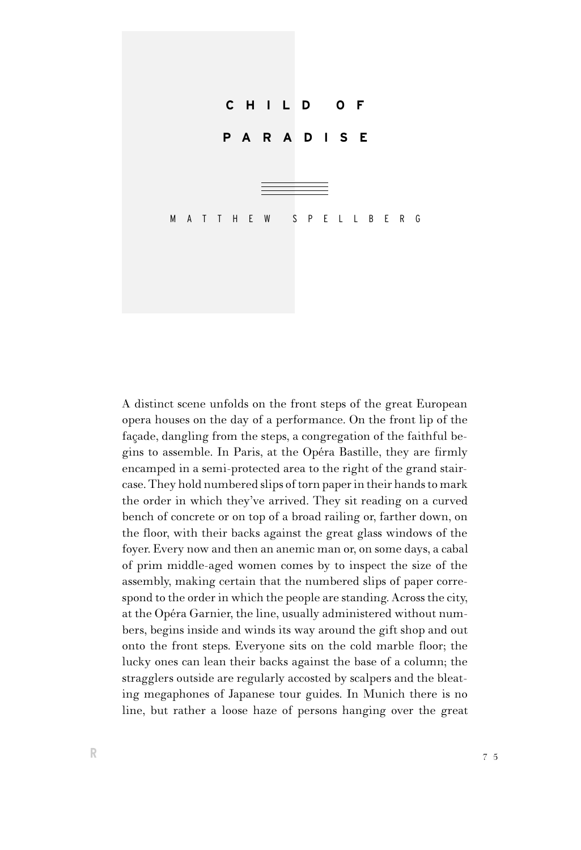

A distinct scene unfolds on the front steps of the great European opera houses on the day of a performance. On the front lip of the façade, dangling from the steps, a congregation of the faithful begins to assemble. In Paris, at the Opéra Bastille, they are firmly encamped in a semi-protected area to the right of the grand staircase. They hold numbered slips of torn paper in their hands to mark the order in which they've arrived. They sit reading on a curved bench of concrete or on top of a broad railing or, farther down, on the floor, with their backs against the great glass windows of the foyer. Every now and then an anemic man or, on some days, a cabal of prim middle-aged women comes by to inspect the size of the assembly, making certain that the numbered slips of paper correspond to the order in which the people are standing. Across the city, at the Opéra Garnier, the line, usually administered without numbers, begins inside and winds its way around the gift shop and out onto the front steps. Everyone sits on the cold marble floor; the lucky ones can lean their backs against the base of a column; the stragglers outside are regularly accosted by scalpers and the bleating megaphones of Japanese tour guides. In Munich there is no line, but rather a loose haze of persons hanging over the great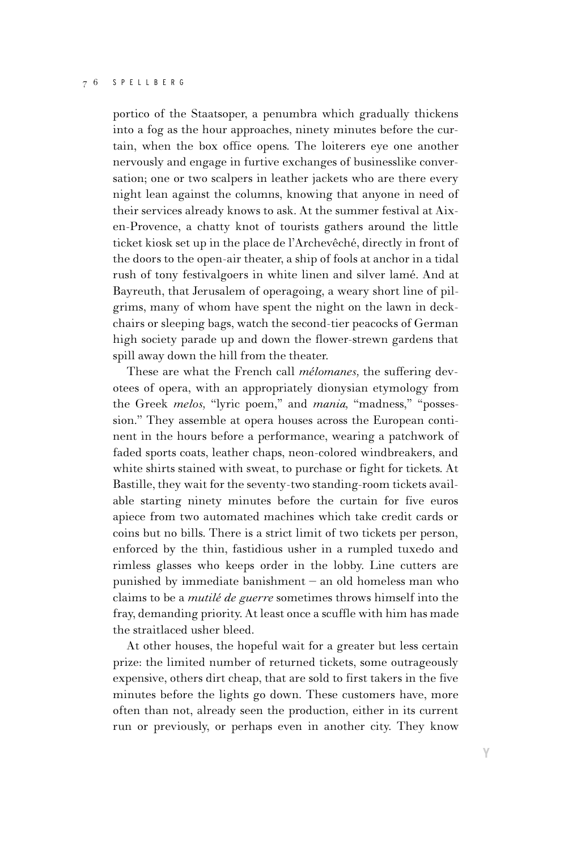portico of the Staatsoper, a penumbra which gradually thickens into a fog as the hour approaches, ninety minutes before the curtain, when the box office opens. The loiterers eye one another nervously and engage in furtive exchanges of businesslike conversation; one or two scalpers in leather jackets who are there every night lean against the columns, knowing that anyone in need of their services already knows to ask. At the summer festival at Aixen-Provence, a chatty knot of tourists gathers around the little ticket kiosk set up in the place de l'Archevêché, directly in front of the doors to the open-air theater, a ship of fools at anchor in a tidal rush of tony festivalgoers in white linen and silver lamé. And at Bayreuth, that Jerusalem of operagoing, a weary short line of pilgrims, many of whom have spent the night on the lawn in deckchairs or sleeping bags, watch the second-tier peacocks of German high society parade up and down the flower-strewn gardens that spill away down the hill from the theater.

These are what the French call *mélomanes*, the suffering devotees of opera, with an appropriately dionysian etymology from the Greek *melos*, "lyric poem," and *mania*, "madness," "possession.'' They assemble at opera houses across the European continent in the hours before a performance, wearing a patchwork of faded sports coats, leather chaps, neon-colored windbreakers, and white shirts stained with sweat, to purchase or fight for tickets. At Bastille, they wait for the seventy-two standing-room tickets available starting ninety minutes before the curtain for five euros apiece from two automated machines which take credit cards or coins but no bills. There is a strict limit of two tickets per person, enforced by the thin, fastidious usher in a rumpled tuxedo and rimless glasses who keeps order in the lobby. Line cutters are punished by immediate banishment – an old homeless man who claims to be a *mutilé de guerre* sometimes throws himself into the fray, demanding priority. At least once a scuffle with him has made the straitlaced usher bleed.

At other houses, the hopeful wait for a greater but less certain prize: the limited number of returned tickets, some outrageously expensive, others dirt cheap, that are sold to first takers in the five minutes before the lights go down. These customers have, more often than not, already seen the production, either in its current run or previously, or perhaps even in another city. They know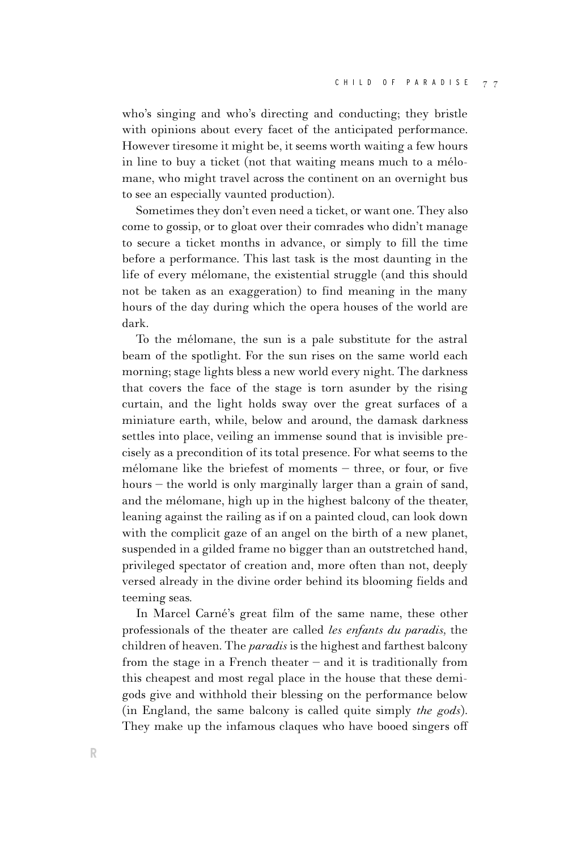who's singing and who's directing and conducting; they bristle with opinions about every facet of the anticipated performance. However tiresome it might be, it seems worth waiting a few hours in line to buy a ticket (not that waiting means much to a mélomane, who might travel across the continent on an overnight bus to see an especially vaunted production).

Sometimes they don't even need a ticket, or want one. They also come to gossip, or to gloat over their comrades who didn't manage to secure a ticket months in advance, or simply to fill the time before a performance. This last task is the most daunting in the life of every mélomane, the existential struggle (and this should not be taken as an exaggeration) to find meaning in the many hours of the day during which the opera houses of the world are dark.

To the mélomane, the sun is a pale substitute for the astral beam of the spotlight. For the sun rises on the same world each morning; stage lights bless a new world every night. The darkness that covers the face of the stage is torn asunder by the rising curtain, and the light holds sway over the great surfaces of a miniature earth, while, below and around, the damask darkness settles into place, veiling an immense sound that is invisible precisely as a precondition of its total presence. For what seems to the mélomane like the briefest of moments – three, or four, or five hours – the world is only marginally larger than a grain of sand, and the mélomane, high up in the highest balcony of the theater, leaning against the railing as if on a painted cloud, can look down with the complicit gaze of an angel on the birth of a new planet, suspended in a gilded frame no bigger than an outstretched hand, privileged spectator of creation and, more often than not, deeply versed already in the divine order behind its blooming fields and teeming seas.

In Marcel Carné's great film of the same name, these other professionals of the theater are called *les enfants du paradis,* the children of heaven. The *paradis* is the highest and farthest balcony from the stage in a French theater  $-$  and it is traditionally from this cheapest and most regal place in the house that these demigods give and withhold their blessing on the performance below (in England, the same balcony is called quite simply *the gods*). They make up the infamous claques who have booed singers off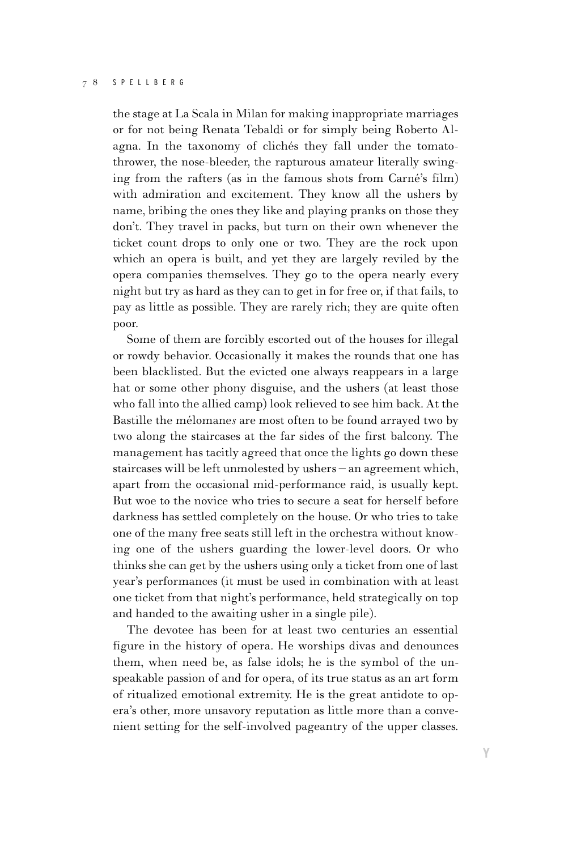the stage at La Scala in Milan for making inappropriate marriages or for not being Renata Tebaldi or for simply being Roberto Alagna. In the taxonomy of clichés they fall under the tomatothrower, the nose-bleeder, the rapturous amateur literally swinging from the rafters (as in the famous shots from Carné's film) with admiration and excitement. They know all the ushers by name, bribing the ones they like and playing pranks on those they don't. They travel in packs, but turn on their own whenever the ticket count drops to only one or two. They are the rock upon which an opera is built, and yet they are largely reviled by the opera companies themselves. They go to the opera nearly every night but try as hard as they can to get in for free or, if that fails, to pay as little as possible. They are rarely rich; they are quite often poor.

Some of them are forcibly escorted out of the houses for illegal or rowdy behavior. Occasionally it makes the rounds that one has been blacklisted. But the evicted one always reappears in a large hat or some other phony disguise, and the ushers (at least those who fall into the allied camp) look relieved to see him back. At the Bastille the mélomane*s* are most often to be found arrayed two by two along the staircases at the far sides of the first balcony. The management has tacitly agreed that once the lights go down these staircases will be left unmolested by ushers – an agreement which, apart from the occasional mid-performance raid, is usually kept. But woe to the novice who tries to secure a seat for herself before darkness has settled completely on the house. Or who tries to take one of the many free seats still left in the orchestra without knowing one of the ushers guarding the lower-level doors. Or who thinks she can get by the ushers using only a ticket from one of last year's performances (it must be used in combination with at least one ticket from that night's performance, held strategically on top and handed to the awaiting usher in a single pile).

The devotee has been for at least two centuries an essential figure in the history of opera. He worships divas and denounces them, when need be, as false idols; he is the symbol of the unspeakable passion of and for opera, of its true status as an art form of ritualized emotional extremity. He is the great antidote to opera's other, more unsavory reputation as little more than a convenient setting for the self-involved pageantry of the upper classes.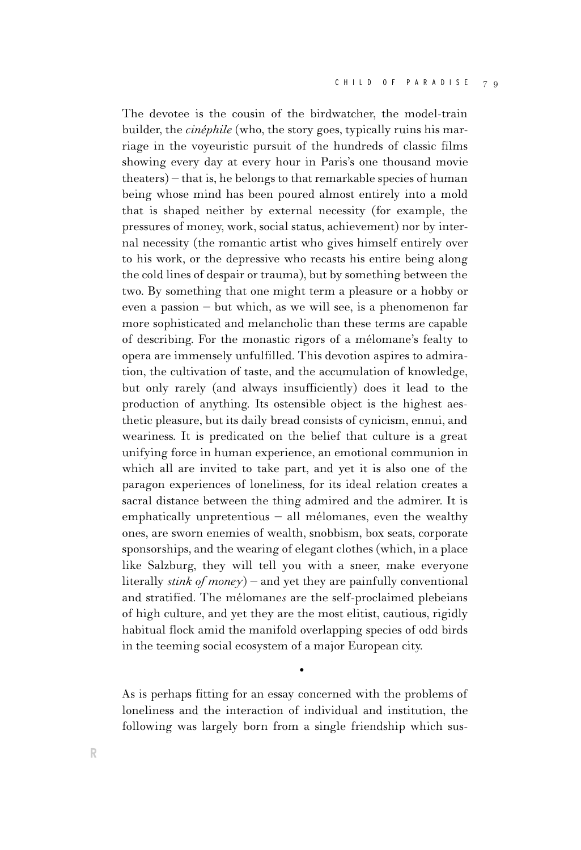The devotee is the cousin of the birdwatcher, the model-train builder, the *cinéphile* (who, the story goes, typically ruins his marriage in the voyeuristic pursuit of the hundreds of classic films showing every day at every hour in Paris's one thousand movie theaters) – that is, he belongs to that remarkable species of human being whose mind has been poured almost entirely into a mold that is shaped neither by external necessity (for example, the pressures of money, work, social status, achievement) nor by internal necessity (the romantic artist who gives himself entirely over to his work, or the depressive who recasts his entire being along the cold lines of despair or trauma), but by something between the two. By something that one might term a pleasure or a hobby or even a passion – but which, as we will see, is a phenomenon far more sophisticated and melancholic than these terms are capable of describing. For the monastic rigors of a mélomane's fealty to opera are immensely unfulfilled. This devotion aspires to admiration, the cultivation of taste, and the accumulation of knowledge, but only rarely (and always insufficiently) does it lead to the production of anything. Its ostensible object is the highest aesthetic pleasure, but its daily bread consists of cynicism, ennui, and weariness. It is predicated on the belief that culture is a great unifying force in human experience, an emotional communion in which all are invited to take part, and yet it is also one of the paragon experiences of loneliness, for its ideal relation creates a sacral distance between the thing admired and the admirer. It is emphatically unpretentious – all mélomanes, even the wealthy ones, are sworn enemies of wealth, snobbism, box seats, corporate sponsorships, and the wearing of elegant clothes (which, in a place like Salzburg, they will tell you with a sneer, make everyone literally *stink of money*) – and yet they are painfully conventional and stratified. The mélomane*s* are the self-proclaimed plebeians of high culture, and yet they are the most elitist, cautious, rigidly habitual flock amid the manifold overlapping species of odd birds in the teeming social ecosystem of a major European city.

As is perhaps fitting for an essay concerned with the problems of loneliness and the interaction of individual and institution, the following was largely born from a single friendship which sus-

•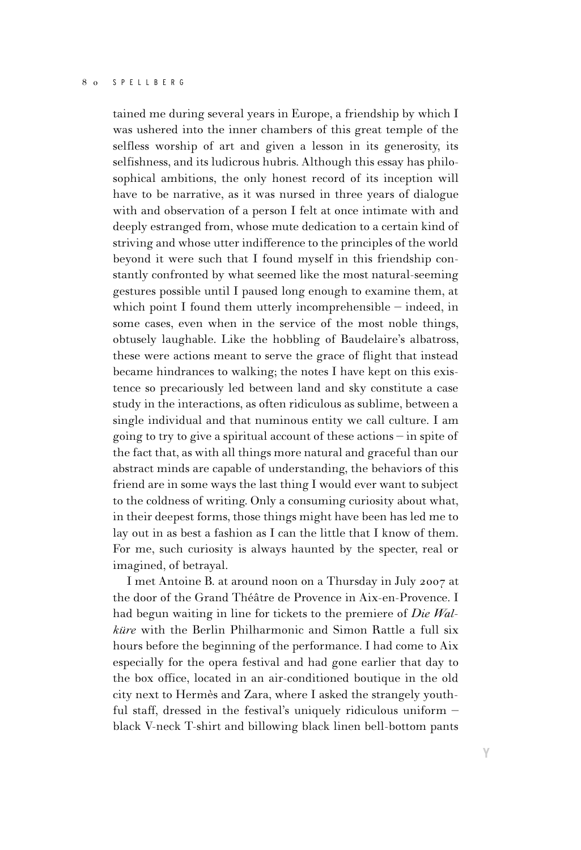tained me during several years in Europe, a friendship by which I was ushered into the inner chambers of this great temple of the selfless worship of art and given a lesson in its generosity, its selfishness, and its ludicrous hubris. Although this essay has philosophical ambitions, the only honest record of its inception will have to be narrative, as it was nursed in three years of dialogue with and observation of a person I felt at once intimate with and deeply estranged from, whose mute dedication to a certain kind of striving and whose utter indifference to the principles of the world beyond it were such that I found myself in this friendship constantly confronted by what seemed like the most natural-seeming gestures possible until I paused long enough to examine them, at which point I found them utterly incomprehensible – indeed, in some cases, even when in the service of the most noble things, obtusely laughable. Like the hobbling of Baudelaire's albatross, these were actions meant to serve the grace of flight that instead became hindrances to walking; the notes I have kept on this existence so precariously led between land and sky constitute a case study in the interactions, as often ridiculous as sublime, between a single individual and that numinous entity we call culture. I am going to try to give a spiritual account of these actions – in spite of the fact that, as with all things more natural and graceful than our abstract minds are capable of understanding, the behaviors of this friend are in some ways the last thing I would ever want to subject to the coldness of writing. Only a consuming curiosity about what, in their deepest forms, those things might have been has led me to lay out in as best a fashion as I can the little that I know of them. For me, such curiosity is always haunted by the specter, real or imagined, of betrayal.

I met Antoine B. at around noon on a Thursday in July 2007 at the door of the Grand Théâtre de Provence in Aix-en-Provence. I had begun waiting in line for tickets to the premiere of *Die Walküre* with the Berlin Philharmonic and Simon Rattle a full six hours before the beginning of the performance. I had come to Aix especially for the opera festival and had gone earlier that day to the box office, located in an air-conditioned boutique in the old city next to Hermès and Zara, where I asked the strangely youthful staff, dressed in the festival's uniquely ridiculous uniform  $$ black V-neck T-shirt and billowing black linen bell-bottom pants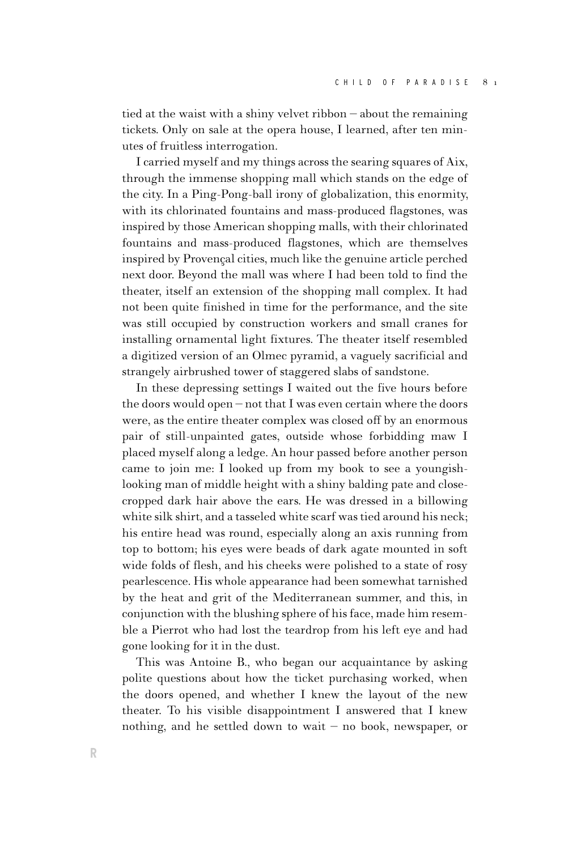tied at the waist with a shiny velvet ribbon – about the remaining tickets. Only on sale at the opera house, I learned, after ten minutes of fruitless interrogation.

I carried myself and my things across the searing squares of Aix, through the immense shopping mall which stands on the edge of the city. In a Ping-Pong-ball irony of globalization, this enormity, with its chlorinated fountains and mass-produced flagstones, was inspired by those American shopping malls, with their chlorinated fountains and mass-produced flagstones, which are themselves inspired by Provençal cities, much like the genuine article perched next door. Beyond the mall was where I had been told to find the theater, itself an extension of the shopping mall complex. It had not been quite finished in time for the performance, and the site was still occupied by construction workers and small cranes for installing ornamental light fixtures. The theater itself resembled a digitized version of an Olmec pyramid, a vaguely sacrificial and strangely airbrushed tower of staggered slabs of sandstone.

In these depressing settings I waited out the five hours before the doors would open – not that I was even certain where the doors were, as the entire theater complex was closed off by an enormous pair of still-unpainted gates, outside whose forbidding maw I placed myself along a ledge. An hour passed before another person came to join me: I looked up from my book to see a youngishlooking man of middle height with a shiny balding pate and closecropped dark hair above the ears. He was dressed in a billowing white silk shirt, and a tasseled white scarf was tied around his neck; his entire head was round, especially along an axis running from top to bottom; his eyes were beads of dark agate mounted in soft wide folds of flesh, and his cheeks were polished to a state of rosy pearlescence. His whole appearance had been somewhat tarnished by the heat and grit of the Mediterranean summer, and this, in conjunction with the blushing sphere of his face, made him resemble a Pierrot who had lost the teardrop from his left eye and had gone looking for it in the dust.

This was Antoine B., who began our acquaintance by asking polite questions about how the ticket purchasing worked, when the doors opened, and whether I knew the layout of the new theater. To his visible disappointment I answered that I knew nothing, and he settled down to wait – no book, newspaper, or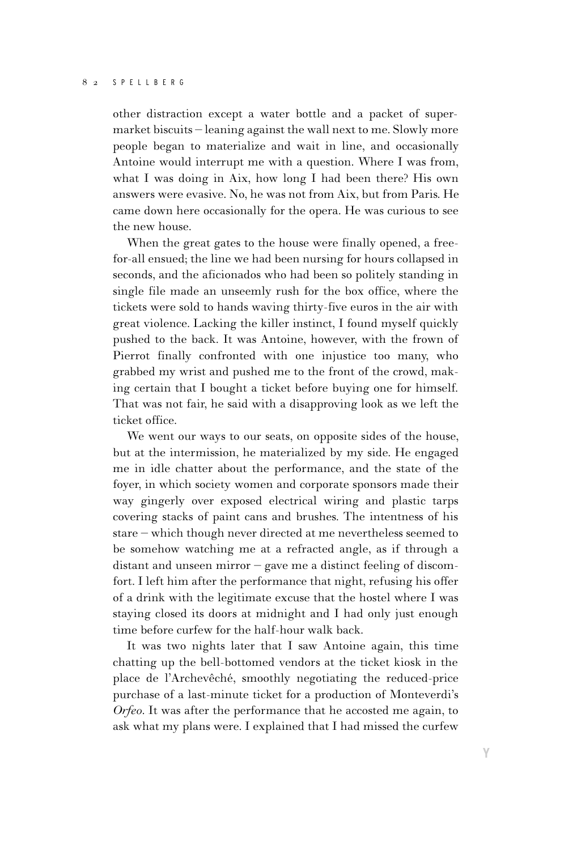other distraction except a water bottle and a packet of supermarket biscuits – leaning against the wall next to me. Slowly more people began to materialize and wait in line, and occasionally Antoine would interrupt me with a question. Where I was from, what I was doing in Aix, how long I had been there? His own answers were evasive. No, he was not from Aix, but from Paris. He came down here occasionally for the opera. He was curious to see the new house.

When the great gates to the house were finally opened, a freefor-all ensued; the line we had been nursing for hours collapsed in seconds, and the aficionados who had been so politely standing in single file made an unseemly rush for the box office, where the tickets were sold to hands waving thirty-five euros in the air with great violence. Lacking the killer instinct, I found myself quickly pushed to the back. It was Antoine, however, with the frown of Pierrot finally confronted with one injustice too many, who grabbed my wrist and pushed me to the front of the crowd, making certain that I bought a ticket before buying one for himself. That was not fair, he said with a disapproving look as we left the ticket office.

We went our ways to our seats, on opposite sides of the house, but at the intermission, he materialized by my side. He engaged me in idle chatter about the performance, and the state of the foyer, in which society women and corporate sponsors made their way gingerly over exposed electrical wiring and plastic tarps covering stacks of paint cans and brushes. The intentness of his stare – which though never directed at me nevertheless seemed to be somehow watching me at a refracted angle, as if through a distant and unseen mirror – gave me a distinct feeling of discomfort. I left him after the performance that night, refusing his offer of a drink with the legitimate excuse that the hostel where I was staying closed its doors at midnight and I had only just enough time before curfew for the half-hour walk back.

It was two nights later that I saw Antoine again, this time chatting up the bell-bottomed vendors at the ticket kiosk in the place de l'Archevêché, smoothly negotiating the reduced-price purchase of a last-minute ticket for a production of Monteverdi's *Orfeo*. It was after the performance that he accosted me again, to ask what my plans were. I explained that I had missed the curfew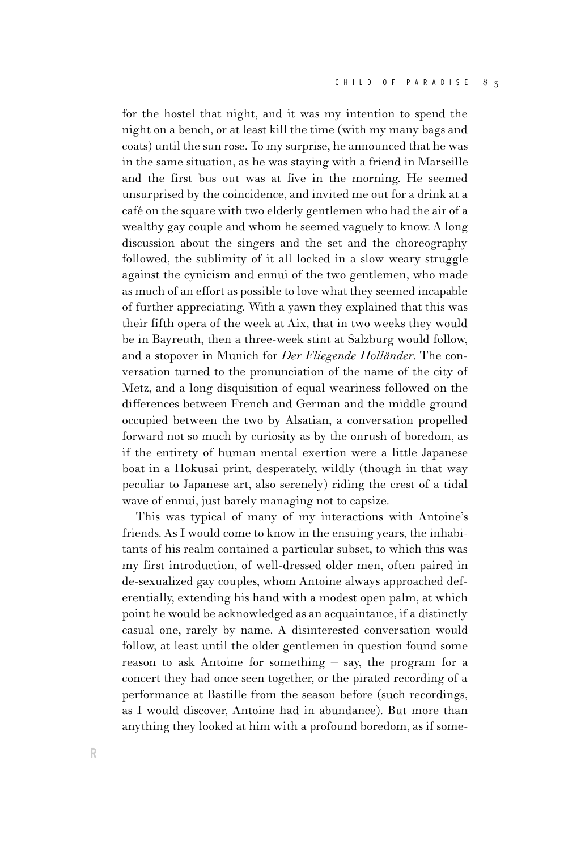for the hostel that night, and it was my intention to spend the night on a bench, or at least kill the time (with my many bags and coats) until the sun rose. To my surprise, he announced that he was in the same situation, as he was staying with a friend in Marseille and the first bus out was at five in the morning. He seemed unsurprised by the coincidence, and invited me out for a drink at a café on the square with two elderly gentlemen who had the air of a wealthy gay couple and whom he seemed vaguely to know. A long discussion about the singers and the set and the choreography followed, the sublimity of it all locked in a slow weary struggle against the cynicism and ennui of the two gentlemen, who made as much of an effort as possible to love what they seemed incapable of further appreciating. With a yawn they explained that this was their fifth opera of the week at Aix, that in two weeks they would be in Bayreuth, then a three-week stint at Salzburg would follow, and a stopover in Munich for *Der Fliegende Holländer*. The conversation turned to the pronunciation of the name of the city of Metz, and a long disquisition of equal weariness followed on the differences between French and German and the middle ground occupied between the two by Alsatian, a conversation propelled forward not so much by curiosity as by the onrush of boredom, as if the entirety of human mental exertion were a little Japanese boat in a Hokusai print, desperately, wildly (though in that way peculiar to Japanese art, also serenely) riding the crest of a tidal wave of ennui, just barely managing not to capsize.

This was typical of many of my interactions with Antoine's friends. As I would come to know in the ensuing years, the inhabitants of his realm contained a particular subset, to which this was my first introduction, of well-dressed older men, often paired in de-sexualized gay couples, whom Antoine always approached deferentially, extending his hand with a modest open palm, at which point he would be acknowledged as an acquaintance, if a distinctly casual one, rarely by name. A disinterested conversation would follow, at least until the older gentlemen in question found some reason to ask Antoine for something – say, the program for a concert they had once seen together, or the pirated recording of a performance at Bastille from the season before (such recordings, as I would discover, Antoine had in abundance). But more than anything they looked at him with a profound boredom, as if some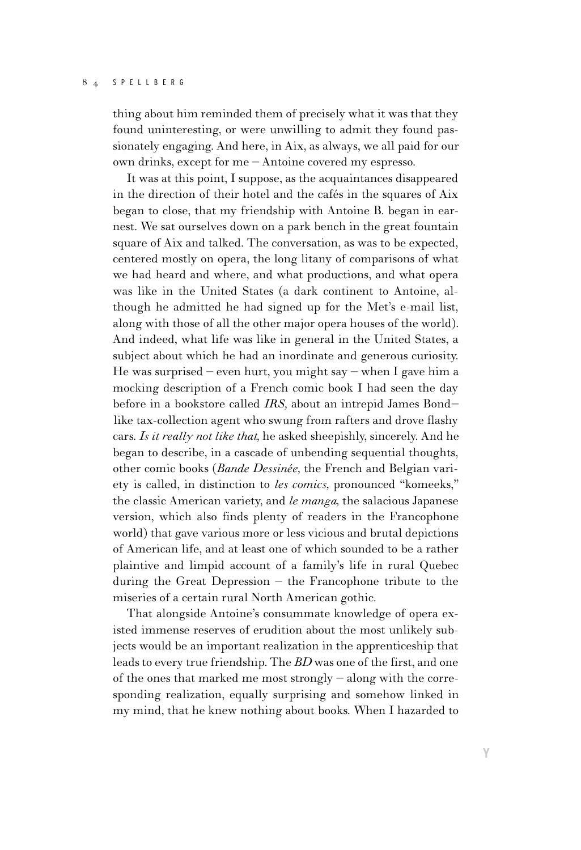thing about him reminded them of precisely what it was that they found uninteresting, or were unwilling to admit they found passionately engaging. And here, in Aix, as always, we all paid for our own drinks, except for me – Antoine covered my espresso.

It was at this point, I suppose, as the acquaintances disappeared in the direction of their hotel and the cafés in the squares of Aix began to close, that my friendship with Antoine B. began in earnest. We sat ourselves down on a park bench in the great fountain square of Aix and talked. The conversation, as was to be expected, centered mostly on opera, the long litany of comparisons of what we had heard and where, and what productions, and what opera was like in the United States (a dark continent to Antoine, although he admitted he had signed up for the Met's e-mail list, along with those of all the other major opera houses of the world). And indeed, what life was like in general in the United States, a subject about which he had an inordinate and generous curiosity. He was surprised – even hurt, you might say – when I gave him a mocking description of a French comic book I had seen the day before in a bookstore called *IRS,* about an intrepid James Bond– like tax-collection agent who swung from rafters and drove flashy cars. *Is it really not like that,* he asked sheepishly, sincerely. And he began to describe, in a cascade of unbending sequential thoughts, other comic books (*Bande Dessinée,* the French and Belgian variety is called, in distinction to *les comics,* pronounced ''komeeks,'' the classic American variety, and *le manga,* the salacious Japanese version, which also finds plenty of readers in the Francophone world) that gave various more or less vicious and brutal depictions of American life, and at least one of which sounded to be a rather plaintive and limpid account of a family's life in rural Quebec during the Great Depression – the Francophone tribute to the miseries of a certain rural North American gothic.

That alongside Antoine's consummate knowledge of opera existed immense reserves of erudition about the most unlikely subjects would be an important realization in the apprenticeship that leads to every true friendship. The *BD* was one of the first, and one of the ones that marked me most strongly – along with the corresponding realization, equally surprising and somehow linked in my mind, that he knew nothing about books. When I hazarded to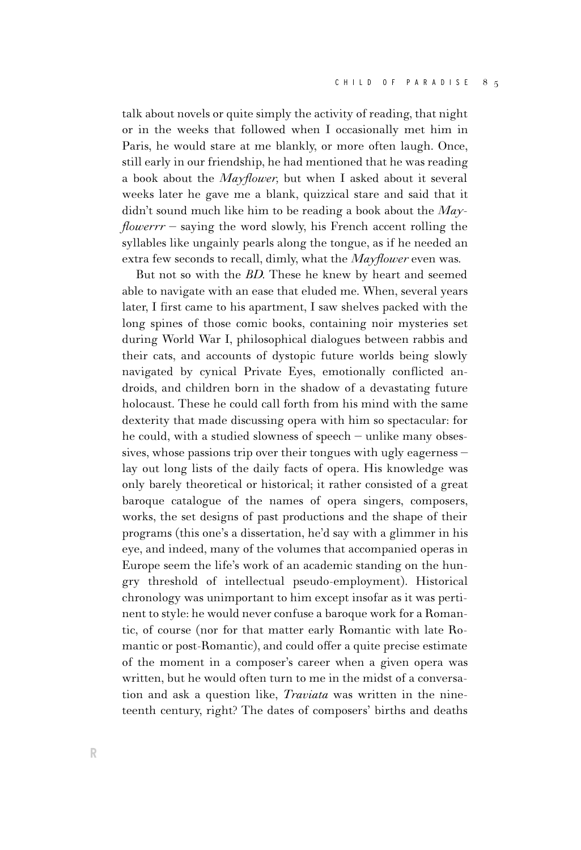talk about novels or quite simply the activity of reading, that night or in the weeks that followed when I occasionally met him in Paris, he would stare at me blankly, or more often laugh. Once, still early in our friendship, he had mentioned that he was reading a book about the *Mayflower,* but when I asked about it several weeks later he gave me a blank, quizzical stare and said that it didn't sound much like him to be reading a book about the *Mayflowerrr* – saying the word slowly, his French accent rolling the syllables like ungainly pearls along the tongue, as if he needed an extra few seconds to recall, dimly, what the *Mayflower* even was.

But not so with the *BD.* These he knew by heart and seemed able to navigate with an ease that eluded me. When, several years later, I first came to his apartment, I saw shelves packed with the long spines of those comic books, containing noir mysteries set during World War I, philosophical dialogues between rabbis and their cats, and accounts of dystopic future worlds being slowly navigated by cynical Private Eyes, emotionally conflicted androids, and children born in the shadow of a devastating future holocaust. These he could call forth from his mind with the same dexterity that made discussing opera with him so spectacular: for he could, with a studied slowness of speech – unlike many obsessives, whose passions trip over their tongues with ugly eagerness – lay out long lists of the daily facts of opera. His knowledge was only barely theoretical or historical; it rather consisted of a great baroque catalogue of the names of opera singers, composers, works, the set designs of past productions and the shape of their programs (this one's a dissertation, he'd say with a glimmer in his eye, and indeed, many of the volumes that accompanied operas in Europe seem the life's work of an academic standing on the hungry threshold of intellectual pseudo-employment). Historical chronology was unimportant to him except insofar as it was pertinent to style: he would never confuse a baroque work for a Romantic, of course (nor for that matter early Romantic with late Romantic or post-Romantic), and could offer a quite precise estimate of the moment in a composer's career when a given opera was written, but he would often turn to me in the midst of a conversation and ask a question like, *Traviata* was written in the nineteenth century, right? The dates of composers' births and deaths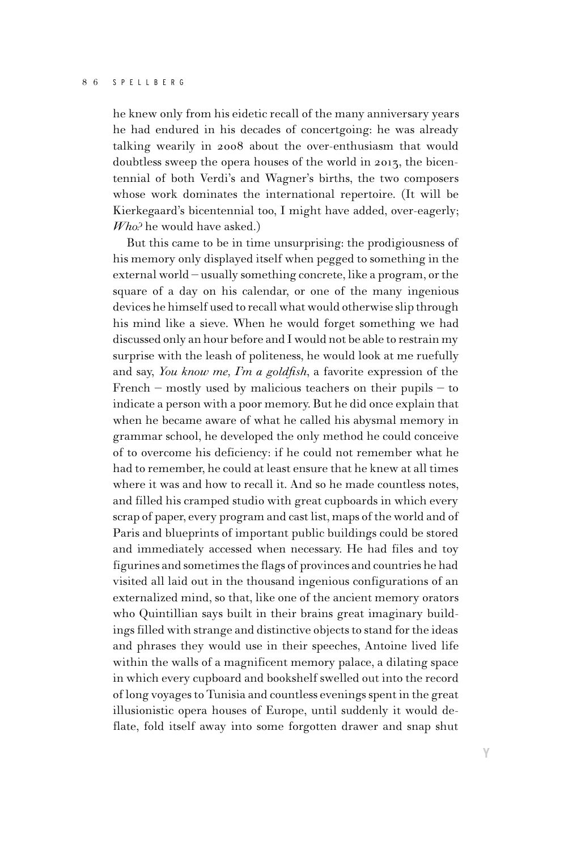he knew only from his eidetic recall of the many anniversary years he had endured in his decades of concertgoing: he was already talking wearily in 2008 about the over-enthusiasm that would doubtless sweep the opera houses of the world in 2013, the bicentennial of both Verdi's and Wagner's births, the two composers whose work dominates the international repertoire. (It will be Kierkegaard's bicentennial too, I might have added, over-eagerly; *Who?* he would have asked.)

But this came to be in time unsurprising: the prodigiousness of his memory only displayed itself when pegged to something in the external world – usually something concrete, like a program, or the square of a day on his calendar, or one of the many ingenious devices he himself used to recall what would otherwise slip through his mind like a sieve. When he would forget something we had discussed only an hour before and I would not be able to restrain my surprise with the leash of politeness, he would look at me ruefully and say, *You know me, I'm a goldfish*, a favorite expression of the French – mostly used by malicious teachers on their pupils – to indicate a person with a poor memory. But he did once explain that when he became aware of what he called his abysmal memory in grammar school, he developed the only method he could conceive of to overcome his deficiency: if he could not remember what he had to remember, he could at least ensure that he knew at all times where it was and how to recall it. And so he made countless notes, and filled his cramped studio with great cupboards in which every scrap of paper, every program and cast list, maps of the world and of Paris and blueprints of important public buildings could be stored and immediately accessed when necessary. He had files and toy figurines and sometimes the flags of provinces and countries he had visited all laid out in the thousand ingenious configurations of an externalized mind, so that, like one of the ancient memory orators who Quintillian says built in their brains great imaginary buildings filled with strange and distinctive objects to stand for the ideas and phrases they would use in their speeches, Antoine lived life within the walls of a magnificent memory palace, a dilating space in which every cupboard and bookshelf swelled out into the record of long voyages to Tunisia and countless evenings spent in the great illusionistic opera houses of Europe, until suddenly it would deflate, fold itself away into some forgotten drawer and snap shut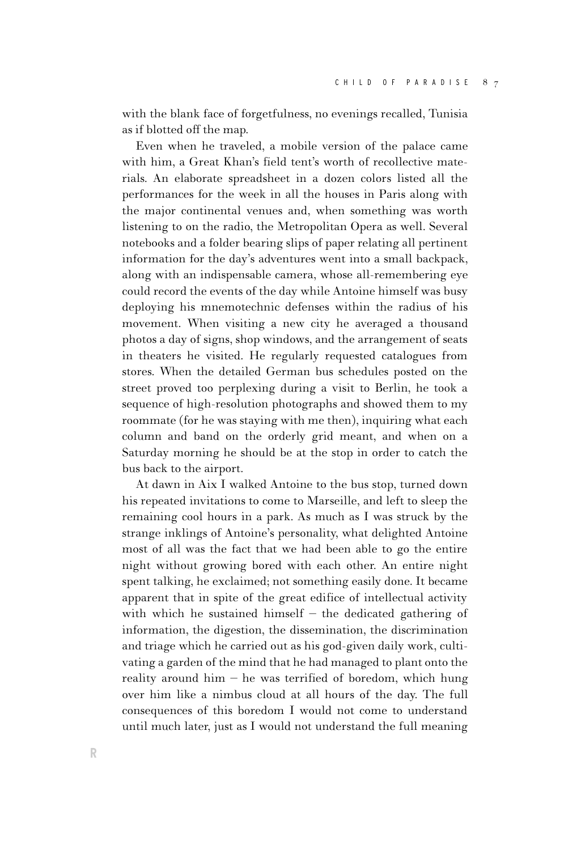with the blank face of forgetfulness, no evenings recalled, Tunisia as if blotted off the map.

Even when he traveled, a mobile version of the palace came with him, a Great Khan's field tent's worth of recollective materials. An elaborate spreadsheet in a dozen colors listed all the performances for the week in all the houses in Paris along with the major continental venues and, when something was worth listening to on the radio, the Metropolitan Opera as well. Several notebooks and a folder bearing slips of paper relating all pertinent information for the day's adventures went into a small backpack, along with an indispensable camera, whose all-remembering eye could record the events of the day while Antoine himself was busy deploying his mnemotechnic defenses within the radius of his movement. When visiting a new city he averaged a thousand photos a day of signs, shop windows, and the arrangement of seats in theaters he visited. He regularly requested catalogues from stores. When the detailed German bus schedules posted on the street proved too perplexing during a visit to Berlin, he took a sequence of high-resolution photographs and showed them to my roommate (for he was staying with me then), inquiring what each column and band on the orderly grid meant, and when on a Saturday morning he should be at the stop in order to catch the bus back to the airport.

At dawn in Aix I walked Antoine to the bus stop, turned down his repeated invitations to come to Marseille, and left to sleep the remaining cool hours in a park. As much as I was struck by the strange inklings of Antoine's personality, what delighted Antoine most of all was the fact that we had been able to go the entire night without growing bored with each other. An entire night spent talking, he exclaimed; not something easily done. It became apparent that in spite of the great edifice of intellectual activity with which he sustained himself  $-$  the dedicated gathering of information, the digestion, the dissemination, the discrimination and triage which he carried out as his god-given daily work, cultivating a garden of the mind that he had managed to plant onto the reality around him  $-$  he was terrified of boredom, which hung over him like a nimbus cloud at all hours of the day. The full consequences of this boredom I would not come to understand until much later, just as I would not understand the full meaning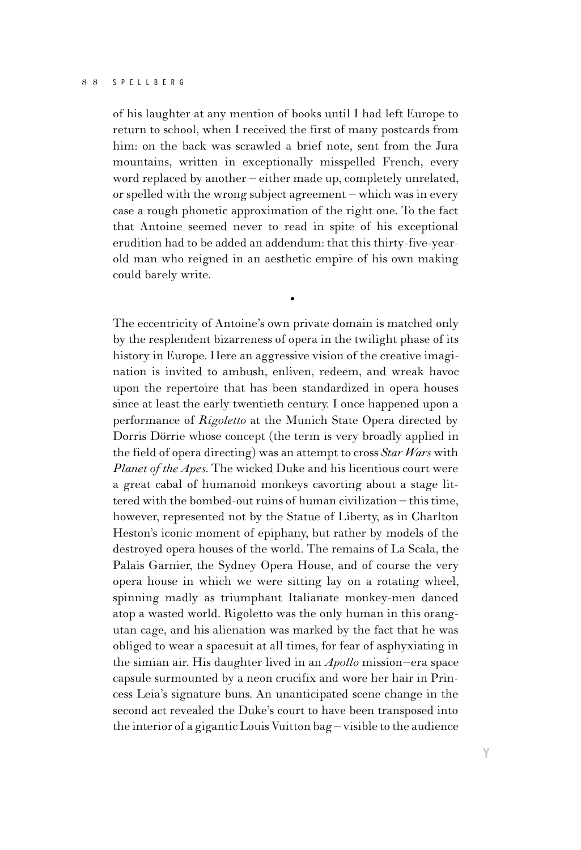of his laughter at any mention of books until I had left Europe to return to school, when I received the first of many postcards from him: on the back was scrawled a brief note, sent from the Jura mountains, written in exceptionally misspelled French, every word replaced by another – either made up, completely unrelated, or spelled with the wrong subject agreement – which was in every case a rough phonetic approximation of the right one. To the fact that Antoine seemed never to read in spite of his exceptional erudition had to be added an addendum: that this thirty-five-yearold man who reigned in an aesthetic empire of his own making could barely write.

•

The eccentricity of Antoine's own private domain is matched only by the resplendent bizarreness of opera in the twilight phase of its history in Europe. Here an aggressive vision of the creative imagination is invited to ambush, enliven, redeem, and wreak havoc upon the repertoire that has been standardized in opera houses since at least the early twentieth century. I once happened upon a performance of *Rigoletto* at the Munich State Opera directed by Dorris Dörrie whose concept (the term is very broadly applied in the field of opera directing) was an attempt to cross *Star Wars* with *Planet of the Apes*. The wicked Duke and his licentious court were a great cabal of humanoid monkeys cavorting about a stage littered with the bombed-out ruins of human civilization – this time, however, represented not by the Statue of Liberty, as in Charlton Heston's iconic moment of epiphany, but rather by models of the destroyed opera houses of the world. The remains of La Scala, the Palais Garnier, the Sydney Opera House, and of course the very opera house in which we were sitting lay on a rotating wheel, spinning madly as triumphant Italianate monkey-men danced atop a wasted world. Rigoletto was the only human in this orangutan cage, and his alienation was marked by the fact that he was obliged to wear a spacesuit at all times, for fear of asphyxiating in the simian air. His daughter lived in an *Apollo* mission–era space capsule surmounted by a neon crucifix and wore her hair in Princess Leia's signature buns. An unanticipated scene change in the second act revealed the Duke's court to have been transposed into the interior of a gigantic Louis Vuitton bag – visible to the audience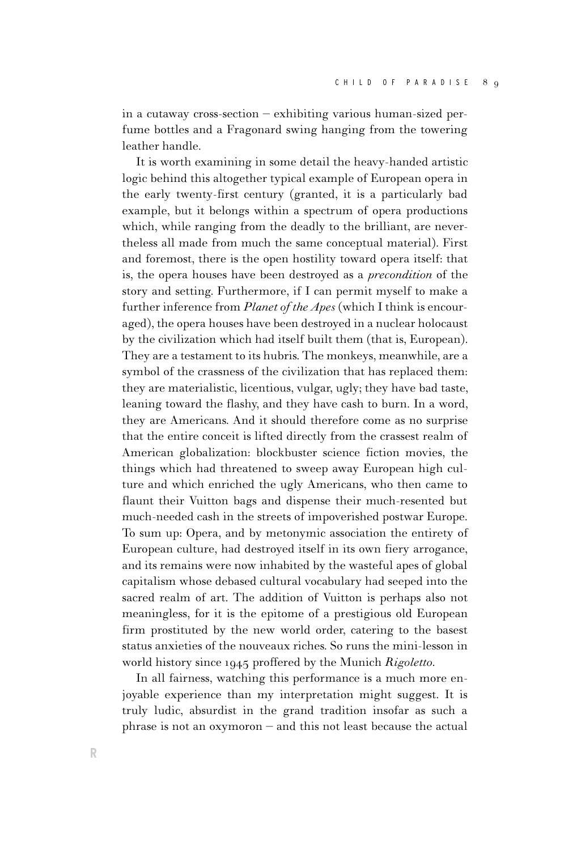in a cutaway cross-section – exhibiting various human-sized perfume bottles and a Fragonard swing hanging from the towering leather handle.

It is worth examining in some detail the heavy-handed artistic logic behind this altogether typical example of European opera in the early twenty-first century (granted, it is a particularly bad example, but it belongs within a spectrum of opera productions which, while ranging from the deadly to the brilliant, are nevertheless all made from much the same conceptual material). First and foremost, there is the open hostility toward opera itself: that is, the opera houses have been destroyed as a *precondition* of the story and setting. Furthermore, if I can permit myself to make a further inference from *Planet of the Apes* (which I think is encouraged), the opera houses have been destroyed in a nuclear holocaust by the civilization which had itself built them (that is, European). They are a testament to its hubris. The monkeys, meanwhile, are a symbol of the crassness of the civilization that has replaced them: they are materialistic, licentious, vulgar, ugly; they have bad taste, leaning toward the flashy, and they have cash to burn. In a word, they are Americans. And it should therefore come as no surprise that the entire conceit is lifted directly from the crassest realm of American globalization: blockbuster science fiction movies, the things which had threatened to sweep away European high culture and which enriched the ugly Americans, who then came to flaunt their Vuitton bags and dispense their much-resented but much-needed cash in the streets of impoverished postwar Europe. To sum up: Opera, and by metonymic association the entirety of European culture, had destroyed itself in its own fiery arrogance, and its remains were now inhabited by the wasteful apes of global capitalism whose debased cultural vocabulary had seeped into the sacred realm of art. The addition of Vuitton is perhaps also not meaningless, for it is the epitome of a prestigious old European firm prostituted by the new world order, catering to the basest status anxieties of the nouveaux riches. So runs the mini-lesson in world history since 1945 proffered by the Munich *Rigoletto*.

In all fairness, watching this performance is a much more enjoyable experience than my interpretation might suggest. It is truly ludic, absurdist in the grand tradition insofar as such a phrase is not an oxymoron – and this not least because the actual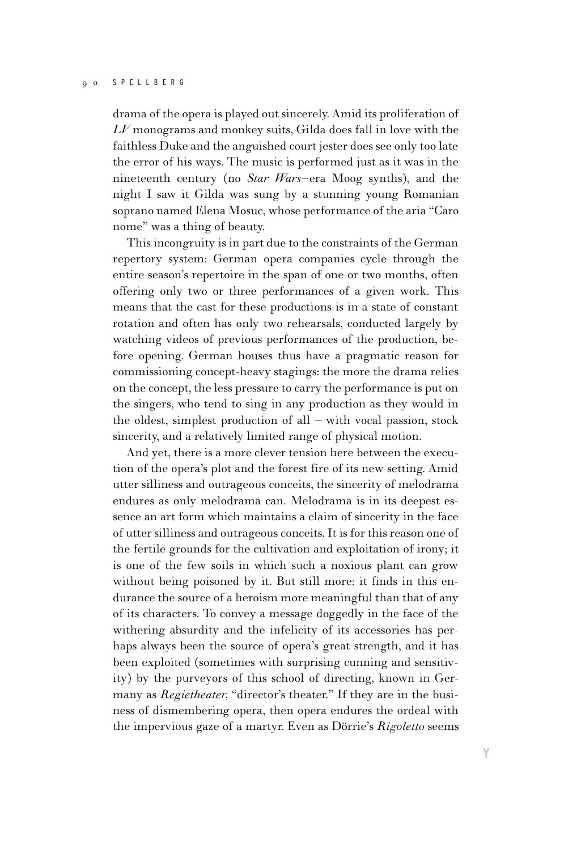drama of the opera is played out sincerely. Amid its proliferation of *LV* monograms and monkey suits, Gilda does fall in love with the faithless Duke and the anguished court jester does see only too late the error of his ways. The music is performed just as it was in the nineteenth century (no *Star Wars*–era Moog synths), and the night I saw it Gilda was sung by a stunning young Romanian soprano named Elena Mosuc, whose performance of the aria ''Caro nome'' was a thing of beauty.

This incongruity is in part due to the constraints of the German repertory system: German opera companies cycle through the entire season's repertoire in the span of one or two months, often offering only two or three performances of a given work. This means that the cast for these productions is in a state of constant rotation and often has only two rehearsals, conducted largely by watching videos of previous performances of the production, before opening. German houses thus have a pragmatic reason for commissioning concept-heavy stagings: the more the drama relies on the concept, the less pressure to carry the performance is put on the singers, who tend to sing in any production as they would in the oldest, simplest production of all – with vocal passion, stock sincerity, and a relatively limited range of physical motion.

And yet, there is a more clever tension here between the execution of the opera's plot and the forest fire of its new setting. Amid utter silliness and outrageous conceits, the sincerity of melodrama endures as only melodrama can. Melodrama is in its deepest essence an art form which maintains a claim of sincerity in the face of utter silliness and outrageous conceits. It is for this reason one of the fertile grounds for the cultivation and exploitation of irony; it is one of the few soils in which such a noxious plant can grow without being poisoned by it. But still more: it finds in this endurance the source of a heroism more meaningful than that of any of its characters. To convey a message doggedly in the face of the withering absurdity and the infelicity of its accessories has perhaps always been the source of opera's great strength, and it has been exploited (sometimes with surprising cunning and sensitivity) by the purveyors of this school of directing, known in Germany as *Regietheater*, "director's theater." If they are in the business of dismembering opera, then opera endures the ordeal with the impervious gaze of a martyr. Even as Dörrie's *Rigoletto* seems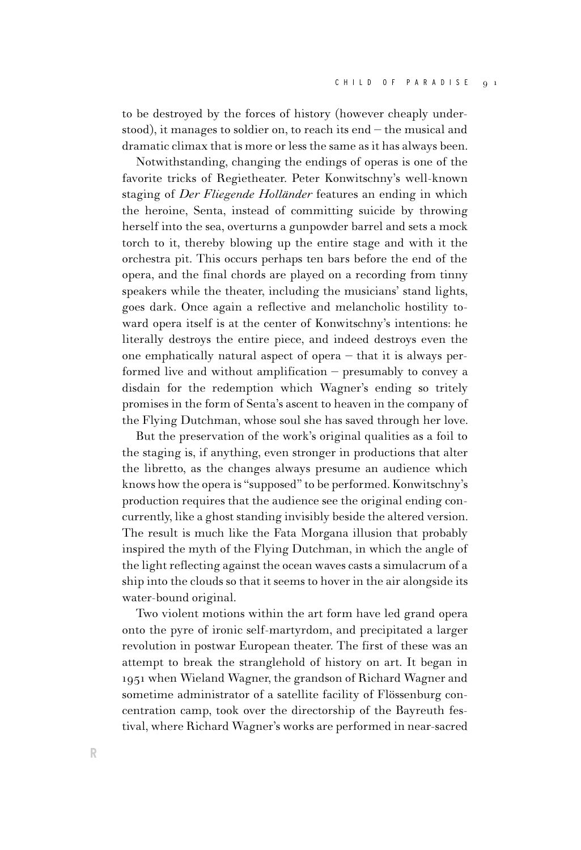to be destroyed by the forces of history (however cheaply understood), it manages to soldier on, to reach its end – the musical and dramatic climax that is more or less the same as it has always been.

Notwithstanding, changing the endings of operas is one of the favorite tricks of Regietheater. Peter Konwitschny's well-known staging of *Der Fliegende Holländer* features an ending in which the heroine, Senta, instead of committing suicide by throwing herself into the sea, overturns a gunpowder barrel and sets a mock torch to it, thereby blowing up the entire stage and with it the orchestra pit. This occurs perhaps ten bars before the end of the opera, and the final chords are played on a recording from tinny speakers while the theater, including the musicians' stand lights, goes dark. Once again a reflective and melancholic hostility toward opera itself is at the center of Konwitschny's intentions: he literally destroys the entire piece, and indeed destroys even the one emphatically natural aspect of opera  $-$  that it is always performed live and without amplification – presumably to convey a disdain for the redemption which Wagner's ending so tritely promises in the form of Senta's ascent to heaven in the company of the Flying Dutchman, whose soul she has saved through her love.

But the preservation of the work's original qualities as a foil to the staging is, if anything, even stronger in productions that alter the libretto, as the changes always presume an audience which knows how the opera is ''supposed'' to be performed. Konwitschny's production requires that the audience see the original ending concurrently, like a ghost standing invisibly beside the altered version. The result is much like the Fata Morgana illusion that probably inspired the myth of the Flying Dutchman, in which the angle of the light reflecting against the ocean waves casts a simulacrum of a ship into the clouds so that it seems to hover in the air alongside its water-bound original.

Two violent motions within the art form have led grand opera onto the pyre of ironic self-martyrdom, and precipitated a larger revolution in postwar European theater. The first of these was an attempt to break the stranglehold of history on art. It began in 1951 when Wieland Wagner, the grandson of Richard Wagner and sometime administrator of a satellite facility of Flössenburg concentration camp, took over the directorship of the Bayreuth festival, where Richard Wagner's works are performed in near-sacred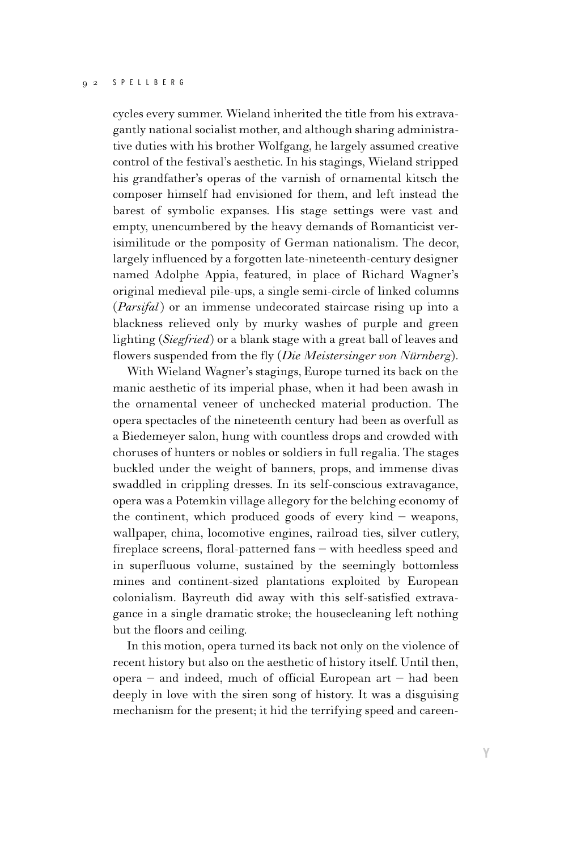cycles every summer. Wieland inherited the title from his extravagantly national socialist mother, and although sharing administrative duties with his brother Wolfgang, he largely assumed creative control of the festival's aesthetic. In his stagings, Wieland stripped his grandfather's operas of the varnish of ornamental kitsch the composer himself had envisioned for them, and left instead the barest of symbolic expanses. His stage settings were vast and empty, unencumbered by the heavy demands of Romanticist verisimilitude or the pomposity of German nationalism. The decor, largely influenced by a forgotten late-nineteenth-century designer named Adolphe Appia, featured, in place of Richard Wagner's original medieval pile-ups, a single semi-circle of linked columns (*Parsifal*) or an immense undecorated staircase rising up into a blackness relieved only by murky washes of purple and green lighting (*Siegfried*) or a blank stage with a great ball of leaves and flowers suspended from the fly (*Die Meistersinger von Nürnberg*).

With Wieland Wagner's stagings, Europe turned its back on the manic aesthetic of its imperial phase, when it had been awash in the ornamental veneer of unchecked material production. The opera spectacles of the nineteenth century had been as overfull as a Biedemeyer salon, hung with countless drops and crowded with choruses of hunters or nobles or soldiers in full regalia. The stages buckled under the weight of banners, props, and immense divas swaddled in crippling dresses. In its self-conscious extravagance, opera was a Potemkin village allegory for the belching economy of the continent, which produced goods of every kind – weapons, wallpaper, china, locomotive engines, railroad ties, silver cutlery, fireplace screens, floral-patterned fans – with heedless speed and in superfluous volume, sustained by the seemingly bottomless mines and continent-sized plantations exploited by European colonialism. Bayreuth did away with this self-satisfied extravagance in a single dramatic stroke; the housecleaning left nothing but the floors and ceiling.

In this motion, opera turned its back not only on the violence of recent history but also on the aesthetic of history itself. Until then, opera – and indeed, much of official European art – had been deeply in love with the siren song of history. It was a disguising mechanism for the present; it hid the terrifying speed and careen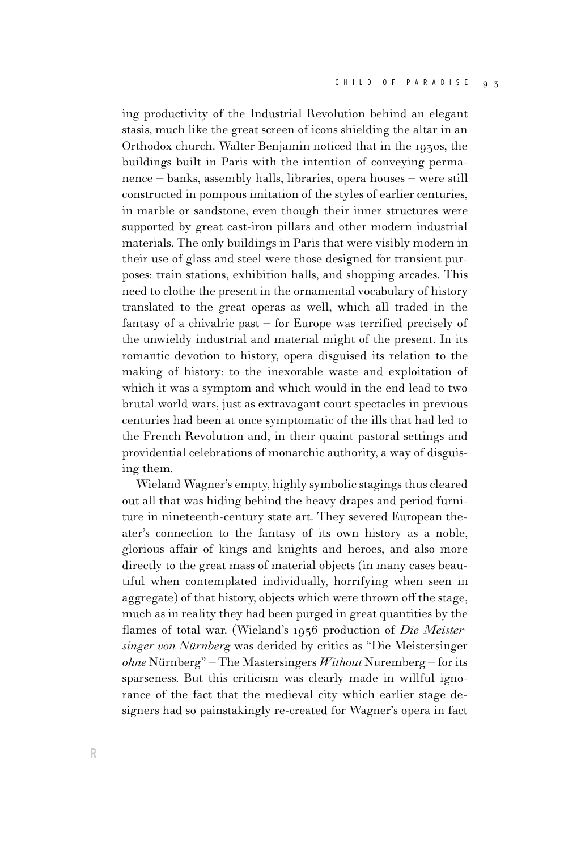ing productivity of the Industrial Revolution behind an elegant stasis, much like the great screen of icons shielding the altar in an Orthodox church. Walter Benjamin noticed that in the 1930s, the buildings built in Paris with the intention of conveying permanence – banks, assembly halls, libraries, opera houses – were still constructed in pompous imitation of the styles of earlier centuries, in marble or sandstone, even though their inner structures were supported by great cast-iron pillars and other modern industrial materials. The only buildings in Paris that were visibly modern in their use of glass and steel were those designed for transient purposes: train stations, exhibition halls, and shopping arcades. This need to clothe the present in the ornamental vocabulary of history translated to the great operas as well, which all traded in the fantasy of a chivalric past – for Europe was terrified precisely of the unwieldy industrial and material might of the present. In its romantic devotion to history, opera disguised its relation to the making of history: to the inexorable waste and exploitation of which it was a symptom and which would in the end lead to two brutal world wars, just as extravagant court spectacles in previous centuries had been at once symptomatic of the ills that had led to the French Revolution and, in their quaint pastoral settings and providential celebrations of monarchic authority, a way of disguising them.

Wieland Wagner's empty, highly symbolic stagings thus cleared out all that was hiding behind the heavy drapes and period furniture in nineteenth-century state art. They severed European theater's connection to the fantasy of its own history as a noble, glorious affair of kings and knights and heroes, and also more directly to the great mass of material objects (in many cases beautiful when contemplated individually, horrifying when seen in aggregate) of that history, objects which were thrown off the stage, much as in reality they had been purged in great quantities by the flames of total war. (Wieland's 1956 production of *Die Meistersinger von Nürnberg* was derided by critics as ''Die Meistersinger *ohne* Nürnberg'' – The Mastersingers *Without* Nuremberg – for its sparseness. But this criticism was clearly made in willful ignorance of the fact that the medieval city which earlier stage designers had so painstakingly re-created for Wagner's opera in fact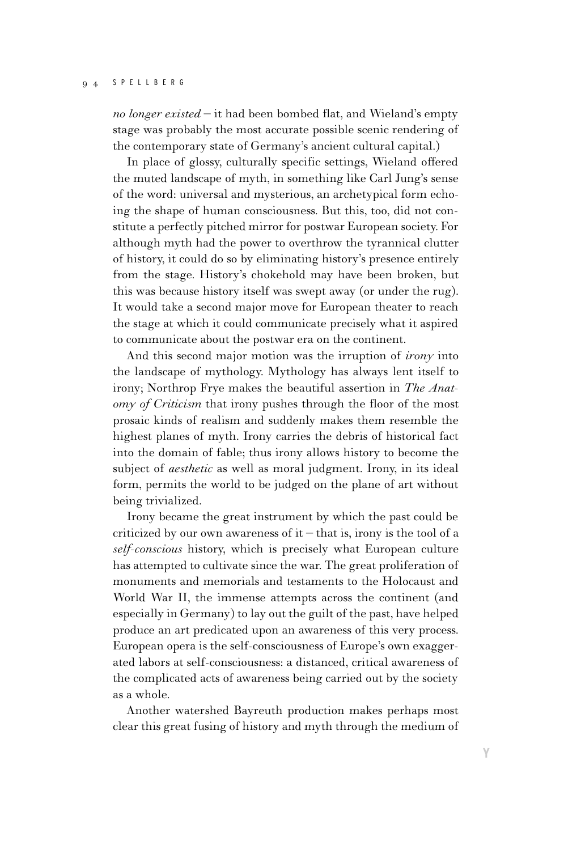*no longer existed* – it had been bombed flat, and Wieland's empty stage was probably the most accurate possible scenic rendering of the contemporary state of Germany's ancient cultural capital.)

In place of glossy, culturally specific settings, Wieland offered the muted landscape of myth, in something like Carl Jung's sense of the word: universal and mysterious, an archetypical form echoing the shape of human consciousness. But this, too, did not constitute a perfectly pitched mirror for postwar European society. For although myth had the power to overthrow the tyrannical clutter of history, it could do so by eliminating history's presence entirely from the stage. History's chokehold may have been broken, but this was because history itself was swept away (or under the rug). It would take a second major move for European theater to reach the stage at which it could communicate precisely what it aspired to communicate about the postwar era on the continent.

And this second major motion was the irruption of *irony* into the landscape of mythology. Mythology has always lent itself to irony; Northrop Frye makes the beautiful assertion in *The Anatomy of Criticism* that irony pushes through the floor of the most prosaic kinds of realism and suddenly makes them resemble the highest planes of myth. Irony carries the debris of historical fact into the domain of fable; thus irony allows history to become the subject of *aesthetic* as well as moral judgment. Irony, in its ideal form, permits the world to be judged on the plane of art without being trivialized.

Irony became the great instrument by which the past could be criticized by our own awareness of it – that is, irony is the tool of a *self-conscious* history, which is precisely what European culture has attempted to cultivate since the war. The great proliferation of monuments and memorials and testaments to the Holocaust and World War II, the immense attempts across the continent (and especially in Germany) to lay out the guilt of the past, have helped produce an art predicated upon an awareness of this very process. European opera is the self-consciousness of Europe's own exaggerated labors at self-consciousness: a distanced, critical awareness of the complicated acts of awareness being carried out by the society as a whole.

Another watershed Bayreuth production makes perhaps most clear this great fusing of history and myth through the medium of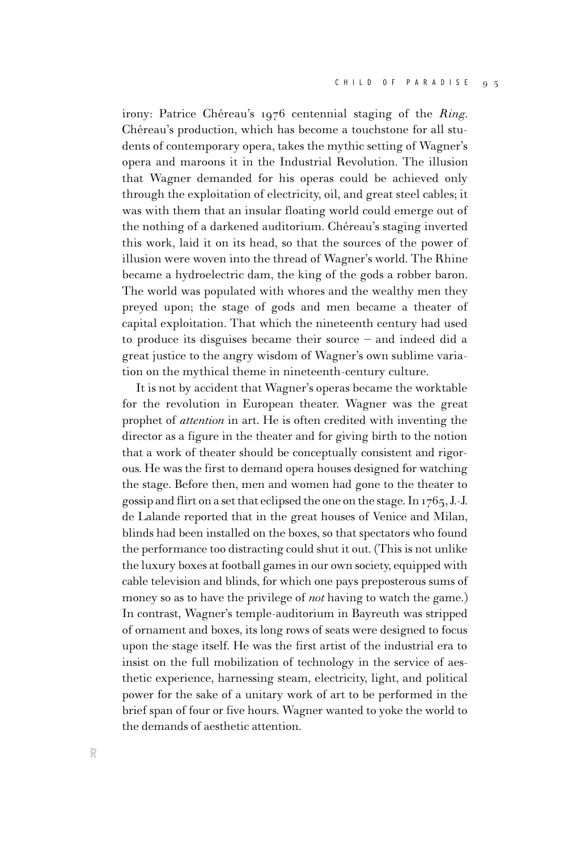irony: Patrice Chéreau's 1976 centennial staging of the *Ring*. Chéreau's production, which has become a touchstone for all students of contemporary opera, takes the mythic setting of Wagner's opera and maroons it in the Industrial Revolution. The illusion that Wagner demanded for his operas could be achieved only through the exploitation of electricity, oil, and great steel cables; it was with them that an insular floating world could emerge out of the nothing of a darkened auditorium. Chéreau's staging inverted this work, laid it on its head, so that the sources of the power of illusion were woven into the thread of Wagner's world. The Rhine became a hydroelectric dam, the king of the gods a robber baron. The world was populated with whores and the wealthy men they preyed upon; the stage of gods and men became a theater of capital exploitation. That which the nineteenth century had used to produce its disguises became their source – and indeed did a great justice to the angry wisdom of Wagner's own sublime variation on the mythical theme in nineteenth-century culture.

It is not by accident that Wagner's operas became the worktable for the revolution in European theater. Wagner was the great prophet of *attention* in art. He is often credited with inventing the director as a figure in the theater and for giving birth to the notion that a work of theater should be conceptually consistent and rigorous. He was the first to demand opera houses designed for watching the stage. Before then, men and women had gone to the theater to gossip and flirt on a set that eclipsed the one on the stage. In  $1765$ , J.-J. de Lalande reported that in the great houses of Venice and Milan, blinds had been installed on the boxes, so that spectators who found the performance too distracting could shut it out. (This is not unlike the luxury boxes at football games in our own society, equipped with cable television and blinds, for which one pays preposterous sums of money so as to have the privilege of *not* having to watch the game.) In contrast, Wagner's temple-auditorium in Bayreuth was stripped of ornament and boxes, its long rows of seats were designed to focus upon the stage itself. He was the first artist of the industrial era to insist on the full mobilization of technology in the service of aesthetic experience, harnessing steam, electricity, light, and political power for the sake of a unitary work of art to be performed in the brief span of four or five hours. Wagner wanted to yoke the world to the demands of aesthetic attention.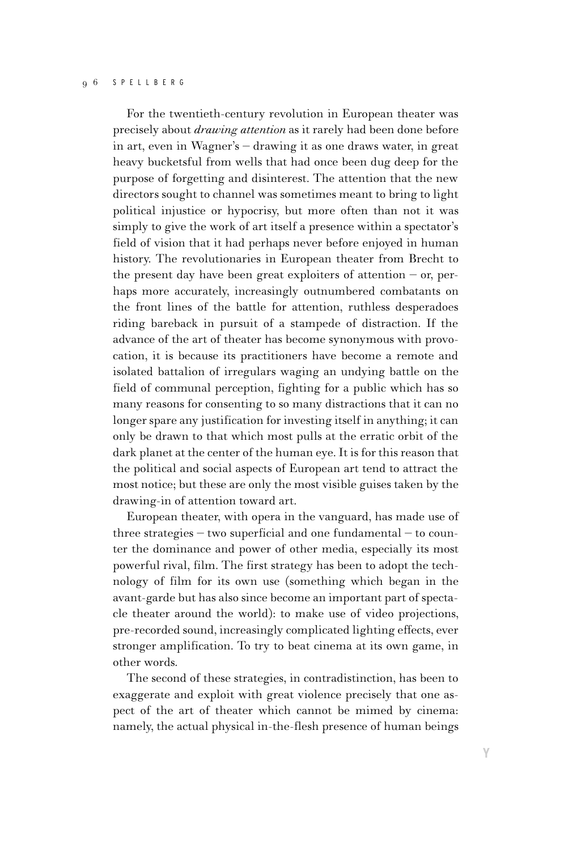For the twentieth-century revolution in European theater was precisely about *drawing attention* as it rarely had been done before in art, even in Wagner's – drawing it as one draws water, in great heavy bucketsful from wells that had once been dug deep for the purpose of forgetting and disinterest. The attention that the new directors sought to channel was sometimes meant to bring to light political injustice or hypocrisy, but more often than not it was simply to give the work of art itself a presence within a spectator's field of vision that it had perhaps never before enjoyed in human history. The revolutionaries in European theater from Brecht to the present day have been great exploiters of attention  $-$  or, perhaps more accurately, increasingly outnumbered combatants on the front lines of the battle for attention, ruthless desperadoes riding bareback in pursuit of a stampede of distraction. If the advance of the art of theater has become synonymous with provocation, it is because its practitioners have become a remote and isolated battalion of irregulars waging an undying battle on the field of communal perception, fighting for a public which has so many reasons for consenting to so many distractions that it can no longer spare any justification for investing itself in anything; it can only be drawn to that which most pulls at the erratic orbit of the dark planet at the center of the human eye. It is for this reason that the political and social aspects of European art tend to attract the most notice; but these are only the most visible guises taken by the drawing-in of attention toward art.

European theater, with opera in the vanguard, has made use of three strategies – two superficial and one fundamental – to counter the dominance and power of other media, especially its most powerful rival, film. The first strategy has been to adopt the technology of film for its own use (something which began in the avant-garde but has also since become an important part of spectacle theater around the world): to make use of video projections, pre-recorded sound, increasingly complicated lighting effects, ever stronger amplification. To try to beat cinema at its own game, in other words.

The second of these strategies, in contradistinction, has been to exaggerate and exploit with great violence precisely that one aspect of the art of theater which cannot be mimed by cinema: namely, the actual physical in-the-flesh presence of human beings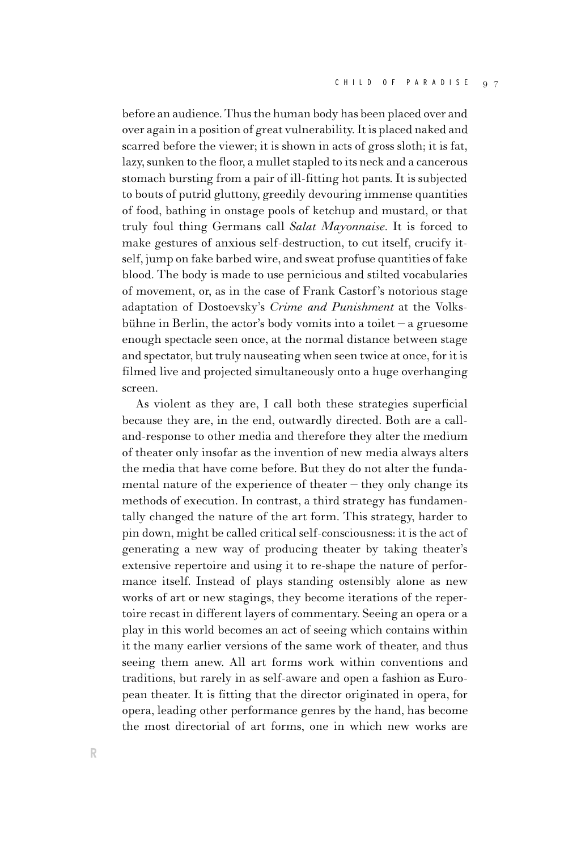before an audience. Thus the human body has been placed over and over again in a position of great vulnerability. It is placed naked and scarred before the viewer; it is shown in acts of gross sloth; it is fat, lazy, sunken to the floor, a mullet stapled to its neck and a cancerous stomach bursting from a pair of ill-fitting hot pants. It is subjected to bouts of putrid gluttony, greedily devouring immense quantities of food, bathing in onstage pools of ketchup and mustard, or that truly foul thing Germans call *Salat Mayonnaise*. It is forced to make gestures of anxious self-destruction, to cut itself, crucify itself, jump on fake barbed wire, and sweat profuse quantities of fake blood. The body is made to use pernicious and stilted vocabularies of movement, or, as in the case of Frank Castorf's notorious stage adaptation of Dostoevsky's *Crime and Punishment* at the Volksbühne in Berlin, the actor's body vomits into a toilet – a gruesome enough spectacle seen once, at the normal distance between stage and spectator, but truly nauseating when seen twice at once, for it is filmed live and projected simultaneously onto a huge overhanging screen.

As violent as they are, I call both these strategies superficial because they are, in the end, outwardly directed. Both are a calland-response to other media and therefore they alter the medium of theater only insofar as the invention of new media always alters the media that have come before. But they do not alter the fundamental nature of the experience of theater – they only change its methods of execution. In contrast, a third strategy has fundamentally changed the nature of the art form. This strategy, harder to pin down, might be called critical self-consciousness: it is the act of generating a new way of producing theater by taking theater's extensive repertoire and using it to re-shape the nature of performance itself. Instead of plays standing ostensibly alone as new works of art or new stagings, they become iterations of the repertoire recast in different layers of commentary. Seeing an opera or a play in this world becomes an act of seeing which contains within it the many earlier versions of the same work of theater, and thus seeing them anew. All art forms work within conventions and traditions, but rarely in as self-aware and open a fashion as European theater. It is fitting that the director originated in opera, for opera, leading other performance genres by the hand, has become the most directorial of art forms, one in which new works are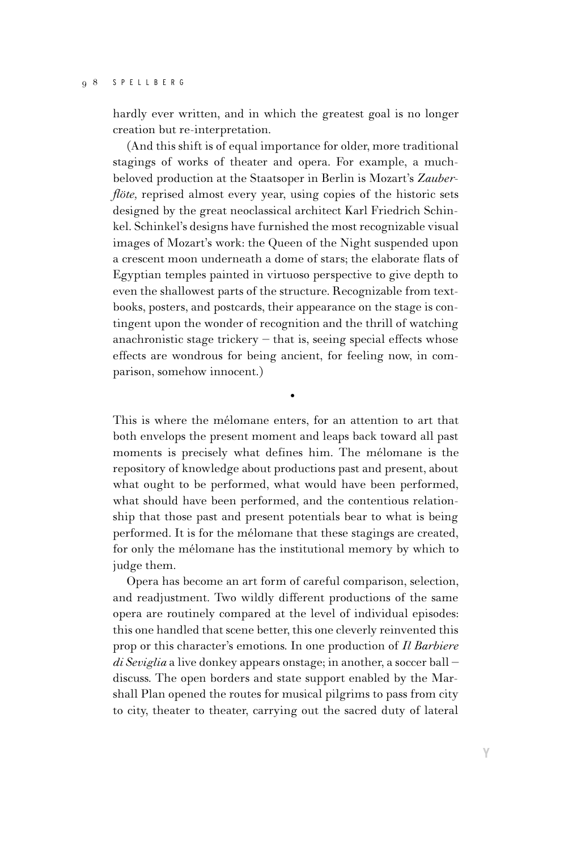hardly ever written, and in which the greatest goal is no longer creation but re-interpretation.

(And this shift is of equal importance for older, more traditional stagings of works of theater and opera. For example, a muchbeloved production at the Staatsoper in Berlin is Mozart's *Zauberflöte,* reprised almost every year, using copies of the historic sets designed by the great neoclassical architect Karl Friedrich Schinkel. Schinkel's designs have furnished the most recognizable visual images of Mozart's work: the Queen of the Night suspended upon a crescent moon underneath a dome of stars; the elaborate flats of Egyptian temples painted in virtuoso perspective to give depth to even the shallowest parts of the structure. Recognizable from textbooks, posters, and postcards, their appearance on the stage is contingent upon the wonder of recognition and the thrill of watching anachronistic stage trickery  $-$  that is, seeing special effects whose effects are wondrous for being ancient, for feeling now, in comparison, somehow innocent.)

This is where the mélomane enters, for an attention to art that both envelops the present moment and leaps back toward all past moments is precisely what defines him. The mélomane is the repository of knowledge about productions past and present, about what ought to be performed, what would have been performed, what should have been performed, and the contentious relationship that those past and present potentials bear to what is being performed. It is for the mélomane that these stagings are created, for only the mélomane has the institutional memory by which to judge them.

•

Opera has become an art form of careful comparison, selection, and readjustment. Two wildly different productions of the same opera are routinely compared at the level of individual episodes: this one handled that scene better, this one cleverly reinvented this prop or this character's emotions. In one production of *Il Barbiere di Seviglia* a live donkey appears onstage; in another, a soccer ball – discuss. The open borders and state support enabled by the Marshall Plan opened the routes for musical pilgrims to pass from city to city, theater to theater, carrying out the sacred duty of lateral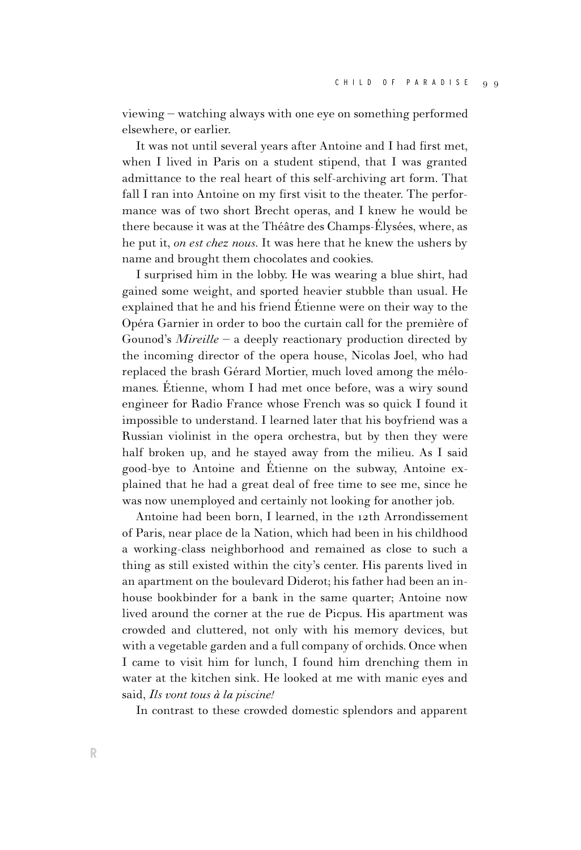viewing – watching always with one eye on something performed elsewhere, or earlier.

It was not until several years after Antoine and I had first met, when I lived in Paris on a student stipend, that I was granted admittance to the real heart of this self-archiving art form. That fall I ran into Antoine on my first visit to the theater. The performance was of two short Brecht operas, and I knew he would be there because it was at the Théâtre des Champs-Élysées, where, as he put it, *on est chez nous*. It was here that he knew the ushers by name and brought them chocolates and cookies.

I surprised him in the lobby. He was wearing a blue shirt, had gained some weight, and sported heavier stubble than usual. He explained that he and his friend Étienne were on their way to the Opéra Garnier in order to boo the curtain call for the première of Gounod's *Mireille* – a deeply reactionary production directed by the incoming director of the opera house, Nicolas Joel, who had replaced the brash Gérard Mortier, much loved among the mélomanes. Étienne, whom I had met once before, was a wiry sound engineer for Radio France whose French was so quick I found it impossible to understand. I learned later that his boyfriend was a Russian violinist in the opera orchestra, but by then they were half broken up, and he stayed away from the milieu. As I said good-bye to Antoine and Étienne on the subway, Antoine explained that he had a great deal of free time to see me, since he was now unemployed and certainly not looking for another job.

Antoine had been born, I learned, in the 12th Arrondissement of Paris, near place de la Nation, which had been in his childhood a working-class neighborhood and remained as close to such a thing as still existed within the city's center. His parents lived in an apartment on the boulevard Diderot; his father had been an inhouse bookbinder for a bank in the same quarter; Antoine now lived around the corner at the rue de Picpus. His apartment was crowded and cluttered, not only with his memory devices, but with a vegetable garden and a full company of orchids. Once when I came to visit him for lunch, I found him drenching them in water at the kitchen sink. He looked at me with manic eyes and said, *Ils vont tous à la piscine!*

In contrast to these crowded domestic splendors and apparent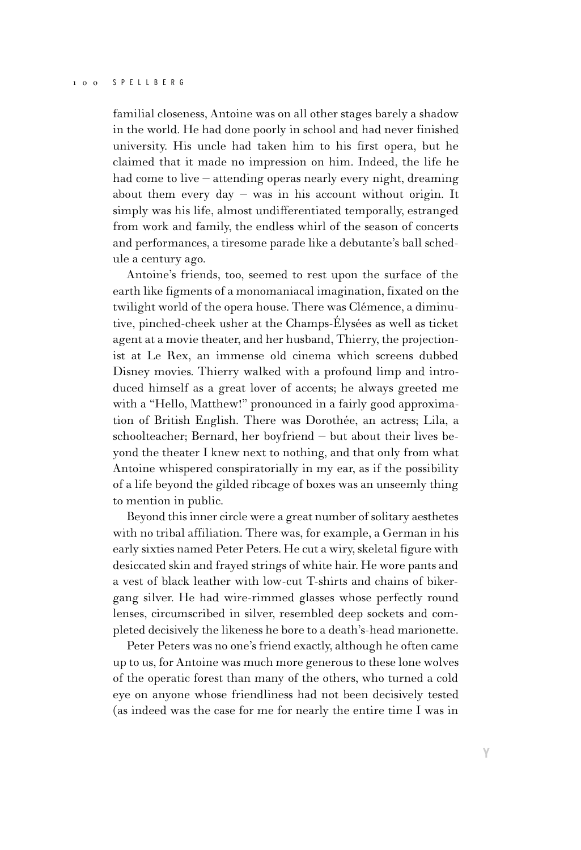familial closeness, Antoine was on all other stages barely a shadow in the world. He had done poorly in school and had never finished university. His uncle had taken him to his first opera, but he claimed that it made no impression on him. Indeed, the life he had come to live – attending operas nearly every night, dreaming about them every day  $-$  was in his account without origin. It simply was his life, almost undifferentiated temporally, estranged from work and family, the endless whirl of the season of concerts and performances, a tiresome parade like a debutante's ball schedule a century ago.

Antoine's friends, too, seemed to rest upon the surface of the earth like figments of a monomaniacal imagination, fixated on the twilight world of the opera house. There was Clémence, a diminutive, pinched-cheek usher at the Champs-Élysées as well as ticket agent at a movie theater, and her husband, Thierry, the projectionist at Le Rex, an immense old cinema which screens dubbed Disney movies. Thierry walked with a profound limp and introduced himself as a great lover of accents; he always greeted me with a "Hello, Matthew!" pronounced in a fairly good approximation of British English. There was Dorothée, an actress; Lila, a schoolteacher; Bernard, her boyfriend – but about their lives beyond the theater I knew next to nothing, and that only from what Antoine whispered conspiratorially in my ear, as if the possibility of a life beyond the gilded ribcage of boxes was an unseemly thing to mention in public.

Beyond this inner circle were a great number of solitary aesthetes with no tribal affiliation. There was, for example, a German in his early sixties named Peter Peters. He cut a wiry, skeletal figure with desiccated skin and frayed strings of white hair. He wore pants and a vest of black leather with low-cut T-shirts and chains of bikergang silver. He had wire-rimmed glasses whose perfectly round lenses, circumscribed in silver, resembled deep sockets and completed decisively the likeness he bore to a death's-head marionette.

Peter Peters was no one's friend exactly, although he often came up to us, for Antoine was much more generous to these lone wolves of the operatic forest than many of the others, who turned a cold eye on anyone whose friendliness had not been decisively tested (as indeed was the case for me for nearly the entire time I was in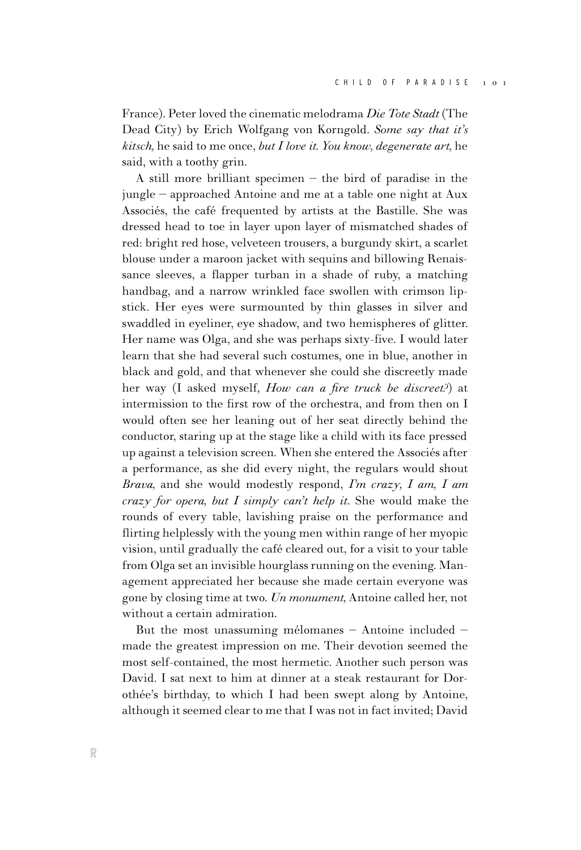France). Peter loved the cinematic melodrama *Die Tote Stadt* (The Dead City) by Erich Wolfgang von Korngold. *Some say that it's kitsch,* he said to me once, *but I love it. You know, degenerate art,* he said, with a toothy grin.

A still more brilliant specimen – the bird of paradise in the jungle – approached Antoine and me at a table one night at Aux Associés, the café frequented by artists at the Bastille. She was dressed head to toe in layer upon layer of mismatched shades of red: bright red hose, velveteen trousers, a burgundy skirt, a scarlet blouse under a maroon jacket with sequins and billowing Renaissance sleeves, a flapper turban in a shade of ruby, a matching handbag, and a narrow wrinkled face swollen with crimson lipstick. Her eyes were surmounted by thin glasses in silver and swaddled in eyeliner, eye shadow, and two hemispheres of glitter. Her name was Olga, and she was perhaps sixty-five. I would later learn that she had several such costumes, one in blue, another in black and gold, and that whenever she could she discreetly made her way (I asked myself, *How can a fire truck be discreet?*) at intermission to the first row of the orchestra, and from then on I would often see her leaning out of her seat directly behind the conductor, staring up at the stage like a child with its face pressed up against a television screen. When she entered the Associés after a performance, as she did every night, the regulars would shout *Brava,* and she would modestly respond, *I'm crazy, I am, I am crazy for opera, but I simply can't help it*. She would make the rounds of every table, lavishing praise on the performance and flirting helplessly with the young men within range of her myopic vision, until gradually the café cleared out, for a visit to your table from Olga set an invisible hourglass running on the evening. Management appreciated her because she made certain everyone was gone by closing time at two. *Un monument,* Antoine called her, not without a certain admiration.

But the most unassuming mélomanes – Antoine included – made the greatest impression on me. Their devotion seemed the most self-contained, the most hermetic. Another such person was David. I sat next to him at dinner at a steak restaurant for Dorothée's birthday, to which I had been swept along by Antoine, although it seemed clear to me that I was not in fact invited; David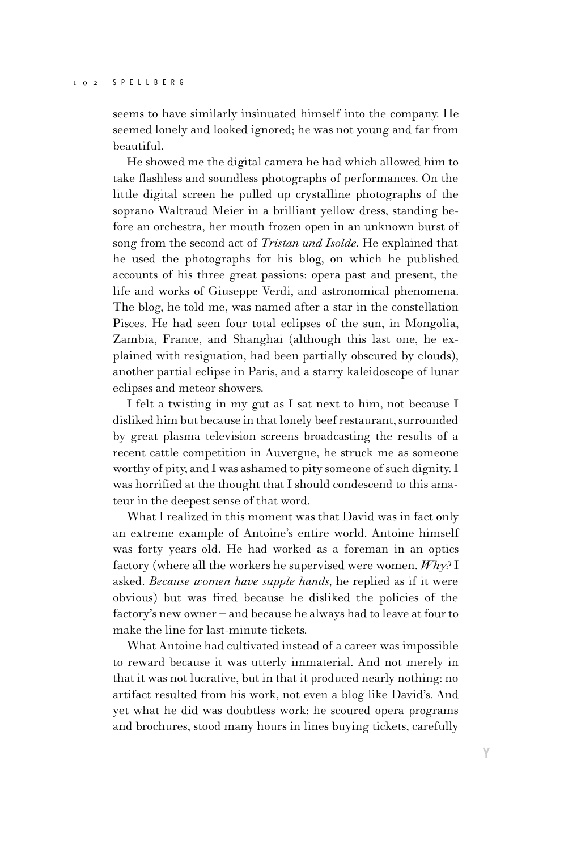seems to have similarly insinuated himself into the company. He seemed lonely and looked ignored; he was not young and far from beautiful.

He showed me the digital camera he had which allowed him to take flashless and soundless photographs of performances. On the little digital screen he pulled up crystalline photographs of the soprano Waltraud Meier in a brilliant yellow dress, standing before an orchestra, her mouth frozen open in an unknown burst of song from the second act of *Tristan und Isolde*. He explained that he used the photographs for his blog, on which he published accounts of his three great passions: opera past and present, the life and works of Giuseppe Verdi, and astronomical phenomena. The blog, he told me, was named after a star in the constellation Pisces. He had seen four total eclipses of the sun, in Mongolia, Zambia, France, and Shanghai (although this last one, he explained with resignation, had been partially obscured by clouds), another partial eclipse in Paris, and a starry kaleidoscope of lunar eclipses and meteor showers.

I felt a twisting in my gut as I sat next to him, not because I disliked him but because in that lonely beef restaurant, surrounded by great plasma television screens broadcasting the results of a recent cattle competition in Auvergne, he struck me as someone worthy of pity, and I was ashamed to pity someone of such dignity. I was horrified at the thought that I should condescend to this amateur in the deepest sense of that word.

What I realized in this moment was that David was in fact only an extreme example of Antoine's entire world. Antoine himself was forty years old. He had worked as a foreman in an optics factory (where all the workers he supervised were women. *Why?* I asked. *Because women have supple hands,* he replied as if it were obvious) but was fired because he disliked the policies of the factory's new owner – and because he always had to leave at four to make the line for last-minute tickets.

What Antoine had cultivated instead of a career was impossible to reward because it was utterly immaterial. And not merely in that it was not lucrative, but in that it produced nearly nothing: no artifact resulted from his work, not even a blog like David's. And yet what he did was doubtless work: he scoured opera programs and brochures, stood many hours in lines buying tickets, carefully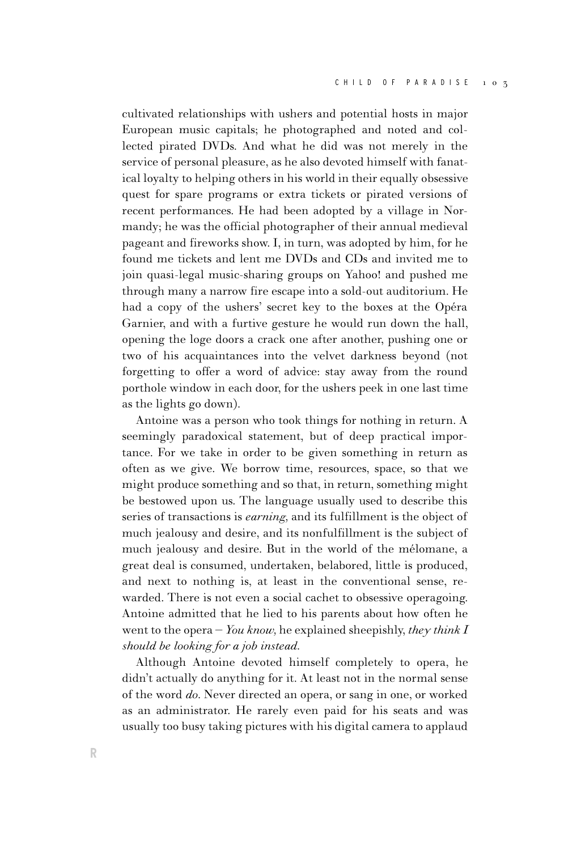cultivated relationships with ushers and potential hosts in major European music capitals; he photographed and noted and collected pirated DVDs. And what he did was not merely in the service of personal pleasure, as he also devoted himself with fanatical loyalty to helping others in his world in their equally obsessive quest for spare programs or extra tickets or pirated versions of recent performances. He had been adopted by a village in Normandy; he was the official photographer of their annual medieval pageant and fireworks show. I, in turn, was adopted by him, for he found me tickets and lent me DVDs and CDs and invited me to join quasi-legal music-sharing groups on Yahoo! and pushed me through many a narrow fire escape into a sold-out auditorium. He had a copy of the ushers' secret key to the boxes at the Opéra Garnier, and with a furtive gesture he would run down the hall, opening the loge doors a crack one after another, pushing one or two of his acquaintances into the velvet darkness beyond (not forgetting to offer a word of advice: stay away from the round porthole window in each door, for the ushers peek in one last time as the lights go down).

Antoine was a person who took things for nothing in return. A seemingly paradoxical statement, but of deep practical importance. For we take in order to be given something in return as often as we give. We borrow time, resources, space, so that we might produce something and so that, in return, something might be bestowed upon us. The language usually used to describe this series of transactions is *earning,* and its fulfillment is the object of much jealousy and desire, and its nonfulfillment is the subject of much jealousy and desire. But in the world of the mélomane, a great deal is consumed, undertaken, belabored, little is produced, and next to nothing is, at least in the conventional sense, rewarded. There is not even a social cachet to obsessive operagoing. Antoine admitted that he lied to his parents about how often he went to the opera – *You know,* he explained sheepishly, *they think I should be looking for a job instead*.

Although Antoine devoted himself completely to opera, he didn't actually do anything for it. At least not in the normal sense of the word *do*. Never directed an opera, or sang in one, or worked as an administrator. He rarely even paid for his seats and was usually too busy taking pictures with his digital camera to applaud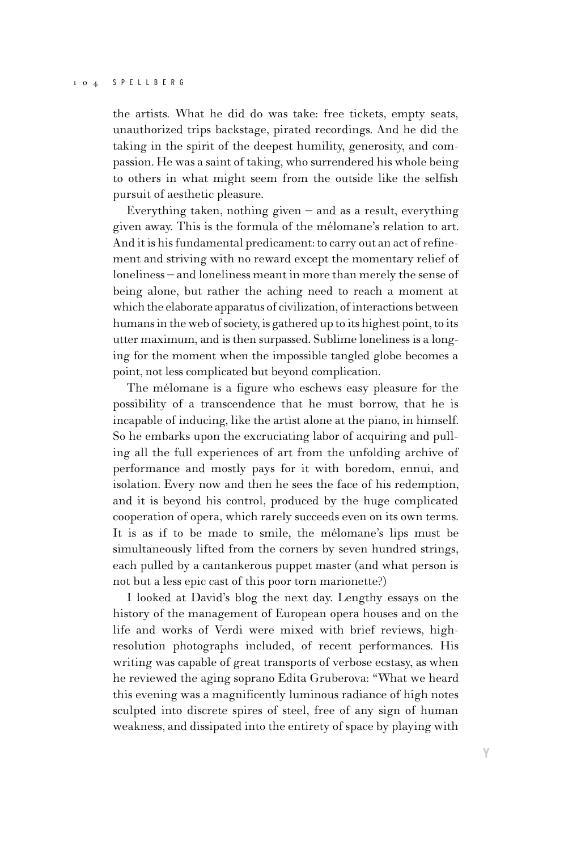the artists. What he did do was take: free tickets, empty seats, unauthorized trips backstage, pirated recordings. And he did the taking in the spirit of the deepest humility, generosity, and compassion. He was a saint of taking, who surrendered his whole being to others in what might seem from the outside like the selfish pursuit of aesthetic pleasure.

Everything taken, nothing given  $-$  and as a result, everything given away. This is the formula of the mélomane's relation to art. And it is his fundamental predicament: to carry out an act of refinement and striving with no reward except the momentary relief of loneliness – and loneliness meant in more than merely the sense of being alone, but rather the aching need to reach a moment at which the elaborate apparatus of civilization, of interactions between humans in the web of society, is gathered up to its highest point, to its utter maximum, and is then surpassed. Sublime loneliness is a longing for the moment when the impossible tangled globe becomes a point, not less complicated but beyond complication.

The mélomane is a figure who eschews easy pleasure for the possibility of a transcendence that he must borrow, that he is incapable of inducing, like the artist alone at the piano, in himself. So he embarks upon the excruciating labor of acquiring and pulling all the full experiences of art from the unfolding archive of performance and mostly pays for it with boredom, ennui, and isolation. Every now and then he sees the face of his redemption, and it is beyond his control, produced by the huge complicated cooperation of opera, which rarely succeeds even on its own terms. It is as if to be made to smile, the mélomane's lips must be simultaneously lifted from the corners by seven hundred strings, each pulled by a cantankerous puppet master (and what person is not but a less epic cast of this poor torn marionette?)

I looked at David's blog the next day. Lengthy essays on the history of the management of European opera houses and on the life and works of Verdi were mixed with brief reviews, highresolution photographs included, of recent performances. His writing was capable of great transports of verbose ecstasy, as when he reviewed the aging soprano Edita Gruberova: ''What we heard this evening was a magnificently luminous radiance of high notes sculpted into discrete spires of steel, free of any sign of human weakness, and dissipated into the entirety of space by playing with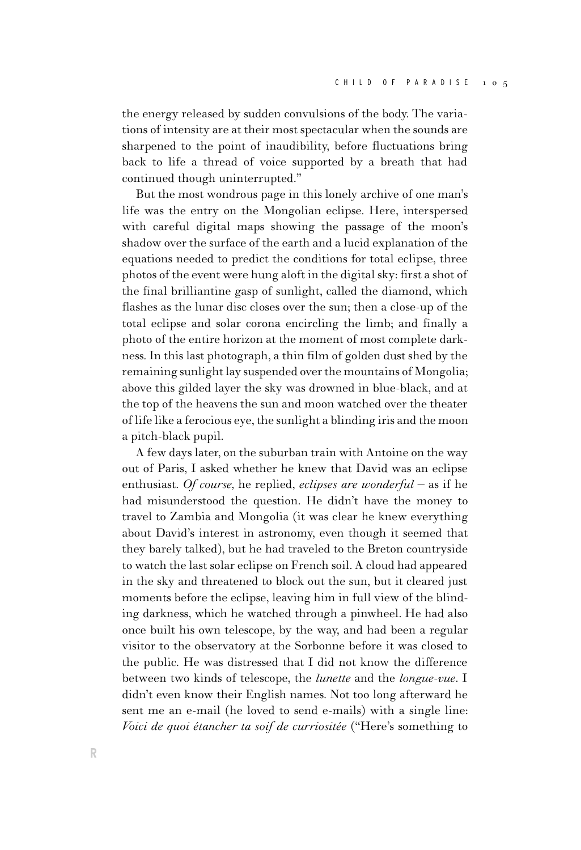the energy released by sudden convulsions of the body. The variations of intensity are at their most spectacular when the sounds are sharpened to the point of inaudibility, before fluctuations bring back to life a thread of voice supported by a breath that had continued though uninterrupted.''

But the most wondrous page in this lonely archive of one man's life was the entry on the Mongolian eclipse. Here, interspersed with careful digital maps showing the passage of the moon's shadow over the surface of the earth and a lucid explanation of the equations needed to predict the conditions for total eclipse, three photos of the event were hung aloft in the digital sky: first a shot of the final brilliantine gasp of sunlight, called the diamond, which flashes as the lunar disc closes over the sun; then a close-up of the total eclipse and solar corona encircling the limb; and finally a photo of the entire horizon at the moment of most complete darkness. In this last photograph, a thin film of golden dust shed by the remaining sunlight lay suspended over the mountains of Mongolia; above this gilded layer the sky was drowned in blue-black, and at the top of the heavens the sun and moon watched over the theater of life like a ferocious eye, the sunlight a blinding iris and the moon a pitch-black pupil.

A few days later, on the suburban train with Antoine on the way out of Paris, I asked whether he knew that David was an eclipse enthusiast. *Of course,* he replied, *eclipses are wonderful* – as if he had misunderstood the question. He didn't have the money to travel to Zambia and Mongolia (it was clear he knew everything about David's interest in astronomy, even though it seemed that they barely talked), but he had traveled to the Breton countryside to watch the last solar eclipse on French soil. A cloud had appeared in the sky and threatened to block out the sun, but it cleared just moments before the eclipse, leaving him in full view of the blinding darkness, which he watched through a pinwheel. He had also once built his own telescope, by the way, and had been a regular visitor to the observatory at the Sorbonne before it was closed to the public. He was distressed that I did not know the difference between two kinds of telescope, the *lunette* and the *longue-vue*. I didn't even know their English names. Not too long afterward he sent me an e-mail (he loved to send e-mails) with a single line: *Voici de quoi étancher ta soif de curriositée* (''Here's something to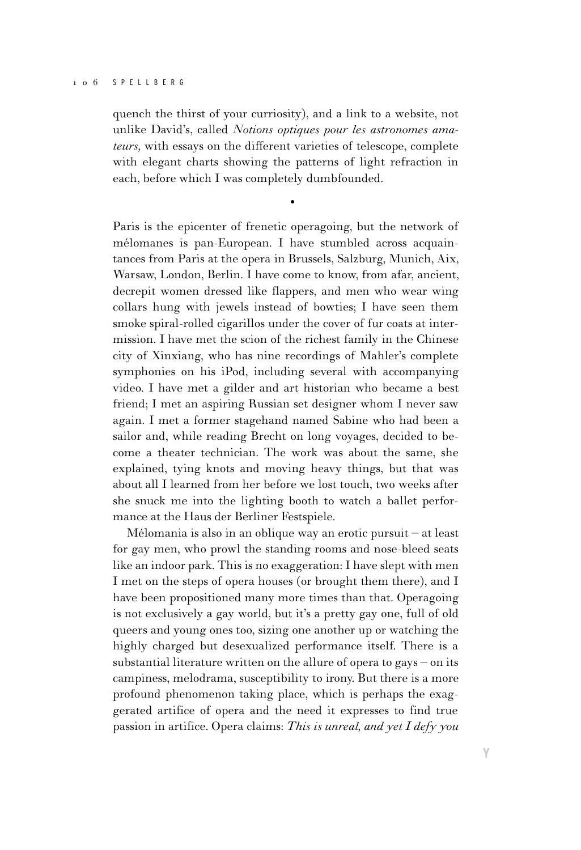quench the thirst of your curriosity), and a link to a website, not unlike David's, called *Notions optiques pour les astronomes amateurs*, with essays on the different varieties of telescope, complete with elegant charts showing the patterns of light refraction in each, before which I was completely dumbfounded.

•

Paris is the epicenter of frenetic operagoing, but the network of mélomanes is pan-European. I have stumbled across acquaintances from Paris at the opera in Brussels, Salzburg, Munich, Aix, Warsaw, London, Berlin. I have come to know, from afar, ancient, decrepit women dressed like flappers, and men who wear wing collars hung with jewels instead of bowties; I have seen them smoke spiral-rolled cigarillos under the cover of fur coats at intermission. I have met the scion of the richest family in the Chinese city of Xinxiang, who has nine recordings of Mahler's complete symphonies on his iPod, including several with accompanying video. I have met a gilder and art historian who became a best friend; I met an aspiring Russian set designer whom I never saw again. I met a former stagehand named Sabine who had been a sailor and, while reading Brecht on long voyages, decided to become a theater technician. The work was about the same, she explained, tying knots and moving heavy things, but that was about all I learned from her before we lost touch, two weeks after she snuck me into the lighting booth to watch a ballet performance at the Haus der Berliner Festspiele.

Mélomania is also in an oblique way an erotic pursuit – at least for gay men, who prowl the standing rooms and nose-bleed seats like an indoor park. This is no exaggeration: I have slept with men I met on the steps of opera houses (or brought them there), and I have been propositioned many more times than that. Operagoing is not exclusively a gay world, but it's a pretty gay one, full of old queers and young ones too, sizing one another up or watching the highly charged but desexualized performance itself. There is a substantial literature written on the allure of opera to  $gays$  – on its campiness, melodrama, susceptibility to irony. But there is a more profound phenomenon taking place, which is perhaps the exaggerated artifice of opera and the need it expresses to find true passion in artifice. Opera claims: *This is unreal, and yet I defy you*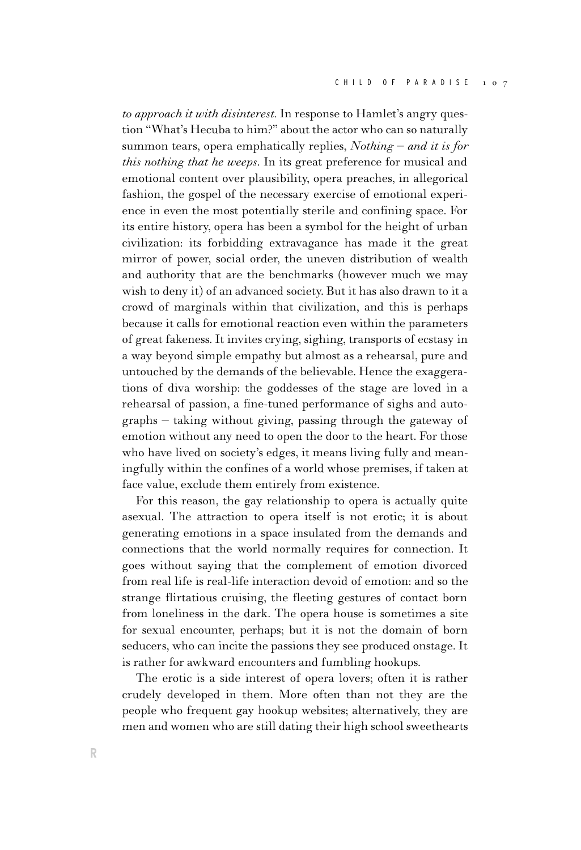*to approach it with disinterest*. In response to Hamlet's angry question ''What's Hecuba to him?'' about the actor who can so naturally summon tears, opera emphatically replies, *Nothing* – *and it is for this nothing that he weeps*. In its great preference for musical and emotional content over plausibility, opera preaches, in allegorical fashion, the gospel of the necessary exercise of emotional experience in even the most potentially sterile and confining space. For its entire history, opera has been a symbol for the height of urban civilization: its forbidding extravagance has made it the great mirror of power, social order, the uneven distribution of wealth and authority that are the benchmarks (however much we may wish to deny it) of an advanced society. But it has also drawn to it a crowd of marginals within that civilization, and this is perhaps because it calls for emotional reaction even within the parameters of great fakeness. It invites crying, sighing, transports of ecstasy in a way beyond simple empathy but almost as a rehearsal, pure and untouched by the demands of the believable. Hence the exaggerations of diva worship: the goddesses of the stage are loved in a rehearsal of passion, a fine-tuned performance of sighs and autographs – taking without giving, passing through the gateway of emotion without any need to open the door to the heart. For those who have lived on society's edges, it means living fully and meaningfully within the confines of a world whose premises, if taken at face value, exclude them entirely from existence.

For this reason, the gay relationship to opera is actually quite asexual. The attraction to opera itself is not erotic; it is about generating emotions in a space insulated from the demands and connections that the world normally requires for connection. It goes without saying that the complement of emotion divorced from real life is real-life interaction devoid of emotion: and so the strange flirtatious cruising, the fleeting gestures of contact born from loneliness in the dark. The opera house is sometimes a site for sexual encounter, perhaps; but it is not the domain of born seducers, who can incite the passions they see produced onstage. It is rather for awkward encounters and fumbling hookups.

The erotic is a side interest of opera lovers; often it is rather crudely developed in them. More often than not they are the people who frequent gay hookup websites; alternatively, they are men and women who are still dating their high school sweethearts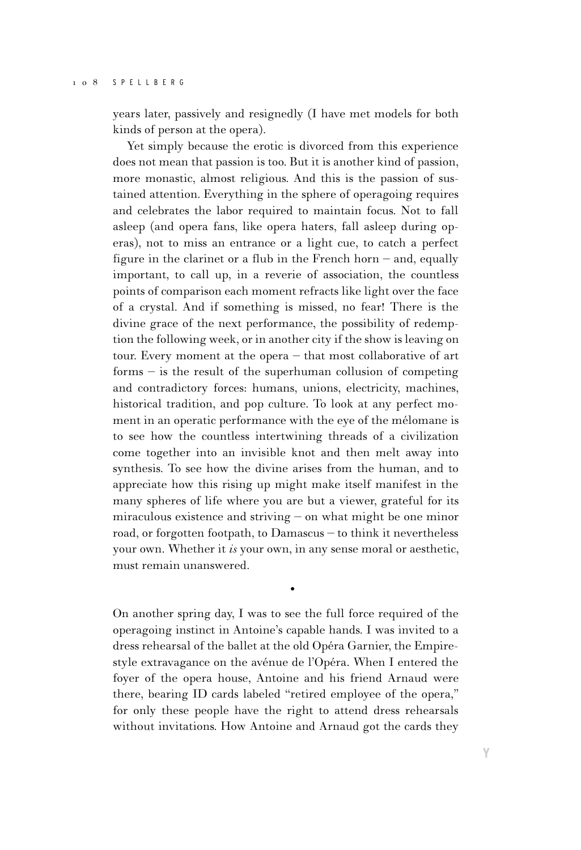years later, passively and resignedly (I have met models for both kinds of person at the opera).

Yet simply because the erotic is divorced from this experience does not mean that passion is too. But it is another kind of passion, more monastic, almost religious. And this is the passion of sustained attention. Everything in the sphere of operagoing requires and celebrates the labor required to maintain focus. Not to fall asleep (and opera fans, like opera haters, fall asleep during operas), not to miss an entrance or a light cue, to catch a perfect figure in the clarinet or a flub in the French horn – and, equally important, to call up, in a reverie of association, the countless points of comparison each moment refracts like light over the face of a crystal. And if something is missed, no fear! There is the divine grace of the next performance, the possibility of redemption the following week, or in another city if the show is leaving on tour. Every moment at the opera – that most collaborative of art forms – is the result of the superhuman collusion of competing and contradictory forces: humans, unions, electricity, machines, historical tradition, and pop culture. To look at any perfect moment in an operatic performance with the eye of the mélomane is to see how the countless intertwining threads of a civilization come together into an invisible knot and then melt away into synthesis. To see how the divine arises from the human, and to appreciate how this rising up might make itself manifest in the many spheres of life where you are but a viewer, grateful for its miraculous existence and striving – on what might be one minor road, or forgotten footpath, to Damascus – to think it nevertheless your own. Whether it *is* your own, in any sense moral or aesthetic, must remain unanswered.

On another spring day, I was to see the full force required of the operagoing instinct in Antoine's capable hands. I was invited to a dress rehearsal of the ballet at the old Opéra Garnier, the Empirestyle extravagance on the avénue de l'Opéra. When I entered the foyer of the opera house, Antoine and his friend Arnaud were there, bearing ID cards labeled ''retired employee of the opera,'' for only these people have the right to attend dress rehearsals without invitations. How Antoine and Arnaud got the cards they

•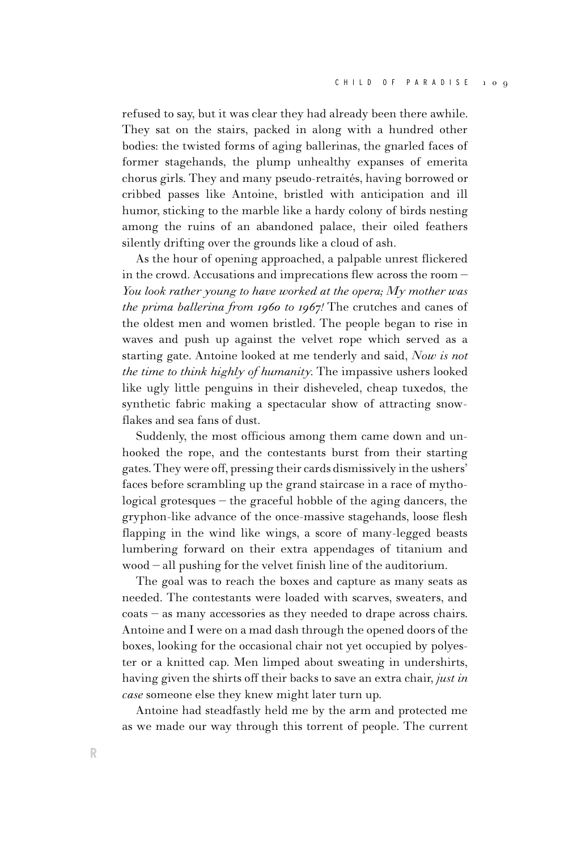refused to say, but it was clear they had already been there awhile. They sat on the stairs, packed in along with a hundred other bodies: the twisted forms of aging ballerinas, the gnarled faces of former stagehands, the plump unhealthy expanses of emerita chorus girls. They and many pseudo-retraités, having borrowed or cribbed passes like Antoine, bristled with anticipation and ill humor, sticking to the marble like a hardy colony of birds nesting among the ruins of an abandoned palace, their oiled feathers silently drifting over the grounds like a cloud of ash.

As the hour of opening approached, a palpable unrest flickered in the crowd. Accusations and imprecations flew across the room – *You look rather young to have worked at the opera; My mother was the prima ballerina from 1960 to 1967!* The crutches and canes of the oldest men and women bristled. The people began to rise in waves and push up against the velvet rope which served as a starting gate. Antoine looked at me tenderly and said, *Now is not the time to think highly of humanity.* The impassive ushers looked like ugly little penguins in their disheveled, cheap tuxedos, the synthetic fabric making a spectacular show of attracting snowflakes and sea fans of dust.

Suddenly, the most officious among them came down and unhooked the rope, and the contestants burst from their starting gates. They were off, pressing their cards dismissively in the ushers' faces before scrambling up the grand staircase in a race of mythological grotesques – the graceful hobble of the aging dancers, the gryphon-like advance of the once-massive stagehands, loose flesh flapping in the wind like wings, a score of many-legged beasts lumbering forward on their extra appendages of titanium and wood – all pushing for the velvet finish line of the auditorium.

The goal was to reach the boxes and capture as many seats as needed. The contestants were loaded with scarves, sweaters, and coats – as many accessories as they needed to drape across chairs. Antoine and I were on a mad dash through the opened doors of the boxes, looking for the occasional chair not yet occupied by polyester or a knitted cap. Men limped about sweating in undershirts, having given the shirts off their backs to save an extra chair, *just in case* someone else they knew might later turn up.

Antoine had steadfastly held me by the arm and protected me as we made our way through this torrent of people. The current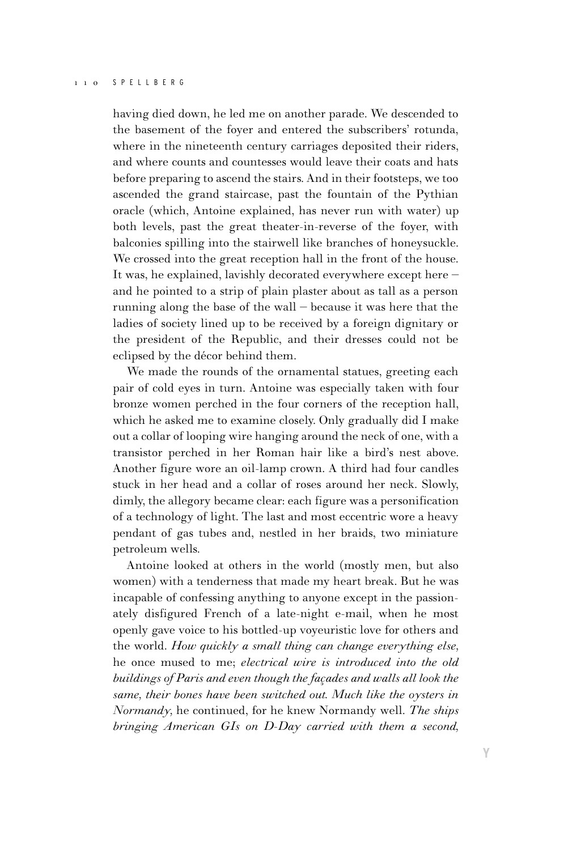having died down, he led me on another parade. We descended to the basement of the foyer and entered the subscribers' rotunda, where in the nineteenth century carriages deposited their riders, and where counts and countesses would leave their coats and hats before preparing to ascend the stairs. And in their footsteps, we too ascended the grand staircase, past the fountain of the Pythian oracle (which, Antoine explained, has never run with water) up both levels, past the great theater-in-reverse of the foyer, with balconies spilling into the stairwell like branches of honeysuckle. We crossed into the great reception hall in the front of the house. It was, he explained, lavishly decorated everywhere except here – and he pointed to a strip of plain plaster about as tall as a person running along the base of the wall – because it was here that the ladies of society lined up to be received by a foreign dignitary or the president of the Republic, and their dresses could not be eclipsed by the décor behind them.

We made the rounds of the ornamental statues, greeting each pair of cold eyes in turn. Antoine was especially taken with four bronze women perched in the four corners of the reception hall, which he asked me to examine closely. Only gradually did I make out a collar of looping wire hanging around the neck of one, with a transistor perched in her Roman hair like a bird's nest above. Another figure wore an oil-lamp crown. A third had four candles stuck in her head and a collar of roses around her neck. Slowly, dimly, the allegory became clear: each figure was a personification of a technology of light. The last and most eccentric wore a heavy pendant of gas tubes and, nestled in her braids, two miniature petroleum wells.

Antoine looked at others in the world (mostly men, but also women) with a tenderness that made my heart break. But he was incapable of confessing anything to anyone except in the passionately disfigured French of a late-night e-mail, when he most openly gave voice to his bottled-up voyeuristic love for others and the world. *How quickly a small thing can change everything else,* he once mused to me; *electrical wire is introduced into the old buildings of Paris and even though the façades and walls all look the same, their bones have been switched out. Much like the oysters in Normandy,* he continued, for he knew Normandy well. *The ships bringing American GIs on D-Day carried with them a second,*